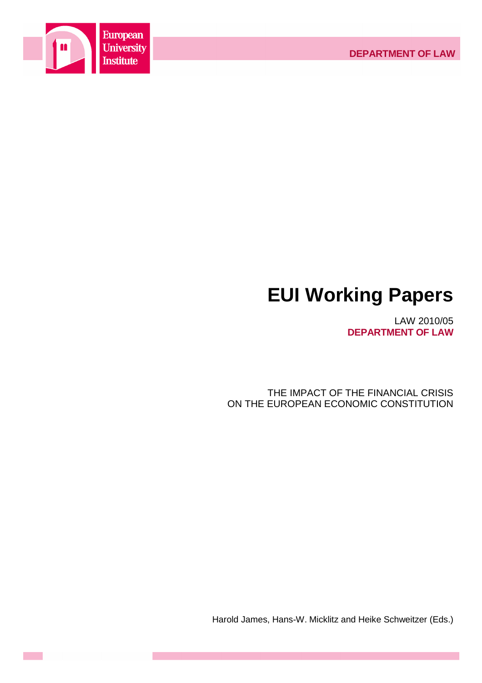



# **EUI Working Papers**

LAW 2010/05 **DEPARTMENT OF LAW**

THE IMPACT OF THE FINANCIAL CRISIS ON THE EUROPEAN ECONOMIC CONSTITUTION

Harold James, Hans-W. Micklitz and Heike Schweitzer (Eds.)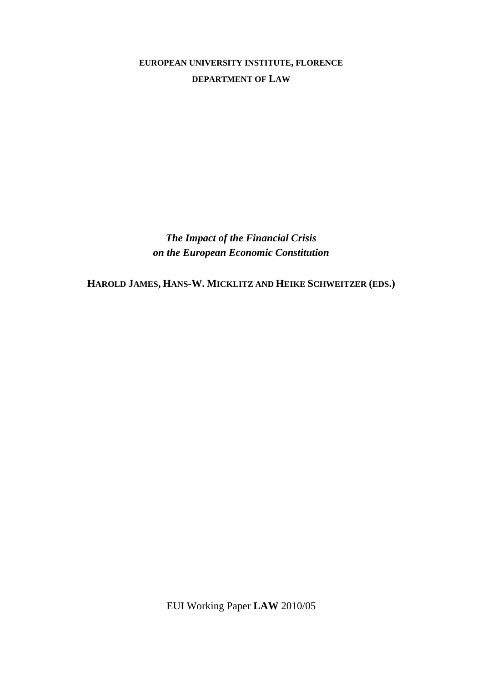**EUROPEAN UNIVERSITY INSTITUTE, FLORENCE DEPARTMENT OF LAW**

*The Impact of the Financial Crisis on the European Economic Constitution* 

**HAROLD JAMES, HANS-W. MICKLITZ AND HEIKE SCHWEITZER (EDS.)**

EUI Working Paper **LAW** 2010/05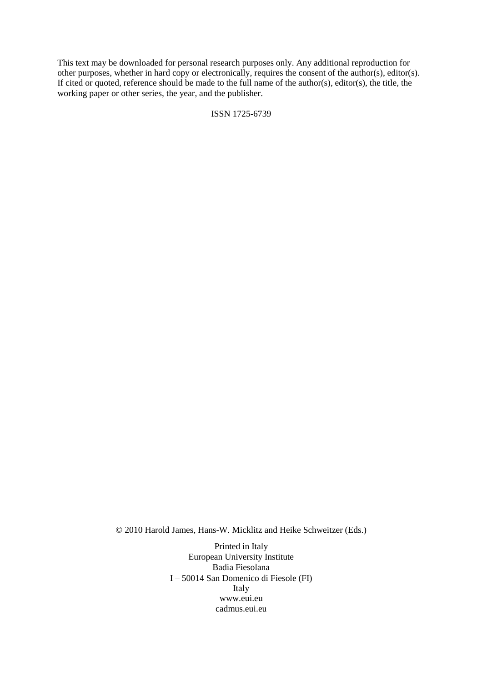This text may be downloaded for personal research purposes only. Any additional reproduction for other purposes, whether in hard copy or electronically, requires the consent of the author(s), editor(s). If cited or quoted, reference should be made to the full name of the author(s), editor(s), the title, the working paper or other series, the year, and the publisher.

ISSN 1725-6739

© 2010 Harold James, Hans-W. Micklitz and Heike Schweitzer (Eds.)

Printed in Italy European University Institute Badia Fiesolana I – 50014 San Domenico di Fiesole (FI) Italy www.eui.eu cadmus.eui.eu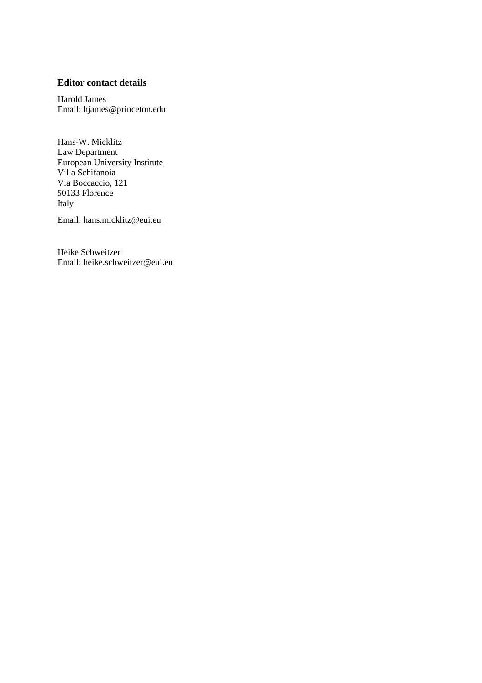# **Editor contact details**

Harold James Email: hjames@princeton.edu

Hans-W. Micklitz Law Department European University Institute Villa Schifanoia Via Boccaccio, 121 50133 Florence Italy

Email: hans.micklitz@eui.eu

Heike Schweitzer Email: heike.schweitzer@eui.eu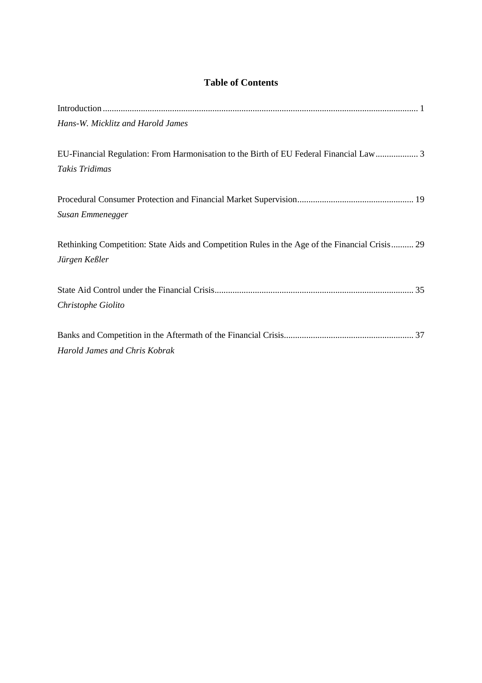# **Table of Contents**

| Hans-W. Micklitz and Harold James                                                                               |
|-----------------------------------------------------------------------------------------------------------------|
| EU-Financial Regulation: From Harmonisation to the Birth of EU Federal Financial Law 3<br>Takis Tridimas        |
| Susan Emmenegger                                                                                                |
| Rethinking Competition: State Aids and Competition Rules in the Age of the Financial Crisis 29<br>Jürgen Keßler |
| Christophe Giolito                                                                                              |
| <b>Harold James and Chris Kobrak</b>                                                                            |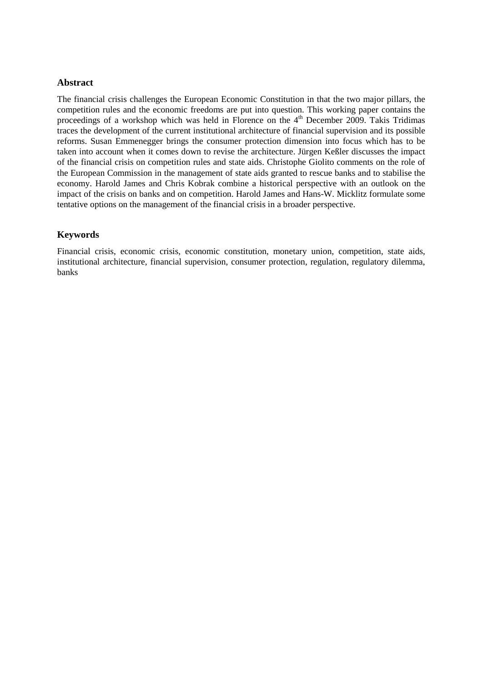# **Abstract**

The financial crisis challenges the European Economic Constitution in that the two major pillars, the competition rules and the economic freedoms are put into question. This working paper contains the proceedings of a workshop which was held in Florence on the  $4<sup>th</sup>$  December 2009. Takis Tridimas traces the development of the current institutional architecture of financial supervision and its possible reforms. Susan Emmenegger brings the consumer protection dimension into focus which has to be taken into account when it comes down to revise the architecture. Jürgen Keßler discusses the impact of the financial crisis on competition rules and state aids. Christophe Giolito comments on the role of the European Commission in the management of state aids granted to rescue banks and to stabilise the economy. Harold James and Chris Kobrak combine a historical perspective with an outlook on the impact of the crisis on banks and on competition. Harold James and Hans-W. Micklitz formulate some tentative options on the management of the financial crisis in a broader perspective.

# **Keywords**

Financial crisis, economic crisis, economic constitution, monetary union, competition, state aids, institutional architecture, financial supervision, consumer protection, regulation, regulatory dilemma, banks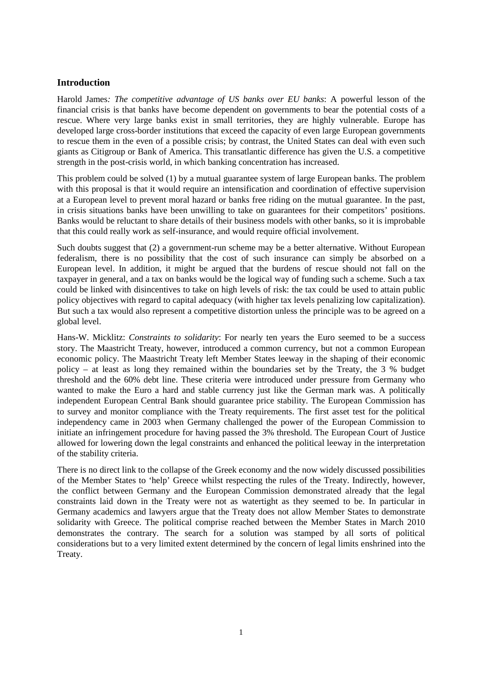# **Introduction**

Harold James*: The competitive advantage of US banks over EU banks*: A powerful lesson of the financial crisis is that banks have become dependent on governments to bear the potential costs of a rescue. Where very large banks exist in small territories, they are highly vulnerable. Europe has developed large cross-border institutions that exceed the capacity of even large European governments to rescue them in the even of a possible crisis; by contrast, the United States can deal with even such giants as Citigroup or Bank of America. This transatlantic difference has given the U.S. a competitive strength in the post-crisis world, in which banking concentration has increased.

This problem could be solved (1) by a mutual guarantee system of large European banks. The problem with this proposal is that it would require an intensification and coordination of effective supervision at a European level to prevent moral hazard or banks free riding on the mutual guarantee. In the past, in crisis situations banks have been unwilling to take on guarantees for their competitors' positions. Banks would be reluctant to share details of their business models with other banks, so it is improbable that this could really work as self-insurance, and would require official involvement.

Such doubts suggest that (2) a government-run scheme may be a better alternative. Without European federalism, there is no possibility that the cost of such insurance can simply be absorbed on a European level. In addition, it might be argued that the burdens of rescue should not fall on the taxpayer in general, and a tax on banks would be the logical way of funding such a scheme. Such a tax could be linked with disincentives to take on high levels of risk: the tax could be used to attain public policy objectives with regard to capital adequacy (with higher tax levels penalizing low capitalization). But such a tax would also represent a competitive distortion unless the principle was to be agreed on a global level.

Hans-W. Micklitz: *Constraints to solidarity*: For nearly ten years the Euro seemed to be a success story. The Maastricht Treaty, however, introduced a common currency, but not a common European economic policy. The Maastricht Treaty left Member States leeway in the shaping of their economic policy – at least as long they remained within the boundaries set by the Treaty, the 3 % budget threshold and the 60% debt line. These criteria were introduced under pressure from Germany who wanted to make the Euro a hard and stable currency just like the German mark was. A politically independent European Central Bank should guarantee price stability. The European Commission has to survey and monitor compliance with the Treaty requirements. The first asset test for the political independency came in 2003 when Germany challenged the power of the European Commission to initiate an infringement procedure for having passed the 3% threshold. The European Court of Justice allowed for lowering down the legal constraints and enhanced the political leeway in the interpretation of the stability criteria.

There is no direct link to the collapse of the Greek economy and the now widely discussed possibilities of the Member States to 'help' Greece whilst respecting the rules of the Treaty. Indirectly, however, the conflict between Germany and the European Commission demonstrated already that the legal constraints laid down in the Treaty were not as watertight as they seemed to be. In particular in Germany academics and lawyers argue that the Treaty does not allow Member States to demonstrate solidarity with Greece. The political comprise reached between the Member States in March 2010 demonstrates the contrary. The search for a solution was stamped by all sorts of political considerations but to a very limited extent determined by the concern of legal limits enshrined into the Treaty.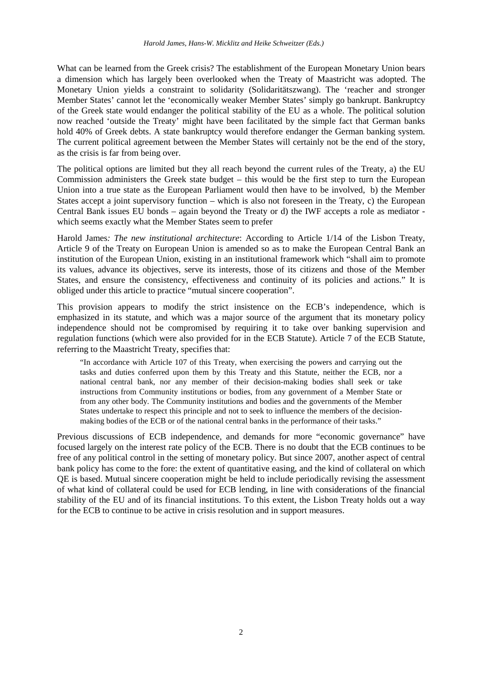What can be learned from the Greek crisis? The establishment of the European Monetary Union bears a dimension which has largely been overlooked when the Treaty of Maastricht was adopted. The Monetary Union yields a constraint to solidarity (Solidaritätszwang). The 'reacher and stronger Member States' cannot let the 'economically weaker Member States' simply go bankrupt. Bankruptcy of the Greek state would endanger the political stability of the EU as a whole. The political solution now reached 'outside the Treaty' might have been facilitated by the simple fact that German banks hold 40% of Greek debts. A state bankruptcy would therefore endanger the German banking system. The current political agreement between the Member States will certainly not be the end of the story, as the crisis is far from being over.

The political options are limited but they all reach beyond the current rules of the Treaty, a) the EU Commission administers the Greek state budget – this would be the first step to turn the European Union into a true state as the European Parliament would then have to be involved, b) the Member States accept a joint supervisory function – which is also not foreseen in the Treaty, c) the European Central Bank issues EU bonds – again beyond the Treaty or d) the IWF accepts a role as mediator which seems exactly what the Member States seem to prefer

Harold James*: The new institutional architecture*: According to Article 1/14 of the Lisbon Treaty, Article 9 of the Treaty on European Union is amended so as to make the European Central Bank an institution of the European Union, existing in an institutional framework which "shall aim to promote its values, advance its objectives, serve its interests, those of its citizens and those of the Member States, and ensure the consistency, effectiveness and continuity of its policies and actions." It is obliged under this article to practice "mutual sincere cooperation".

This provision appears to modify the strict insistence on the ECB's independence, which is emphasized in its statute, and which was a major source of the argument that its monetary policy independence should not be compromised by requiring it to take over banking supervision and regulation functions (which were also provided for in the ECB Statute). Article 7 of the ECB Statute, referring to the Maastricht Treaty, specifies that:

"In accordance with Article 107 of this Treaty, when exercising the powers and carrying out the tasks and duties conferred upon them by this Treaty and this Statute, neither the ECB, nor a national central bank, nor any member of their decision-making bodies shall seek or take instructions from Community institutions or bodies, from any government of a Member State or from any other body. The Community institutions and bodies and the governments of the Member States undertake to respect this principle and not to seek to influence the members of the decisionmaking bodies of the ECB or of the national central banks in the performance of their tasks."

Previous discussions of ECB independence, and demands for more "economic governance" have focused largely on the interest rate policy of the ECB. There is no doubt that the ECB continues to be free of any political control in the setting of monetary policy. But since 2007, another aspect of central bank policy has come to the fore: the extent of quantitative easing, and the kind of collateral on which QE is based. Mutual sincere cooperation might be held to include periodically revising the assessment of what kind of collateral could be used for ECB lending, in line with considerations of the financial stability of the EU and of its financial institutions. To this extent, the Lisbon Treaty holds out a way for the ECB to continue to be active in crisis resolution and in support measures.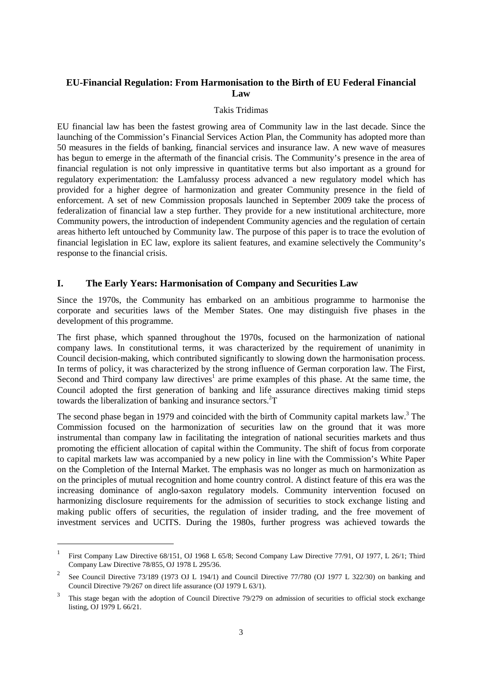# **EU-Financial Regulation: From Harmonisation to the Birth of EU Federal Financial Law**

#### Takis Tridimas

EU financial law has been the fastest growing area of Community law in the last decade. Since the launching of the Commission's Financial Services Action Plan, the Community has adopted more than 50 measures in the fields of banking, financial services and insurance law. A new wave of measures has begun to emerge in the aftermath of the financial crisis. The Community's presence in the area of financial regulation is not only impressive in quantitative terms but also important as a ground for regulatory experimentation: the Lamfalussy process advanced a new regulatory model which has provided for a higher degree of harmonization and greater Community presence in the field of enforcement. A set of new Commission proposals launched in September 2009 take the process of federalization of financial law a step further. They provide for a new institutional architecture, more Community powers, the introduction of independent Community agencies and the regulation of certain areas hitherto left untouched by Community law. The purpose of this paper is to trace the evolution of financial legislation in EC law, explore its salient features, and examine selectively the Community's response to the financial crisis.

#### **I. The Early Years: Harmonisation of Company and Securities Law**

Since the 1970s, the Community has embarked on an ambitious programme to harmonise the corporate and securities laws of the Member States. One may distinguish five phases in the development of this programme.

The first phase, which spanned throughout the 1970s, focused on the harmonization of national company laws. In constitutional terms, it was characterized by the requirement of unanimity in Council decision-making, which contributed significantly to slowing down the harmonisation process. In terms of policy, it was characterized by the strong influence of German corporation law. The First, Second and Third company law directives<sup>1</sup> are prime examples of this phase. At the same time, the Council adopted the first generation of banking and life assurance directives making timid steps towards the liberalization of banking and insurance sectors. $T$ 

The second phase began in 1979 and coincided with the birth of Community capital markets law.<sup>3</sup> The Commission focused on the harmonization of securities law on the ground that it was more instrumental than company law in facilitating the integration of national securities markets and thus promoting the efficient allocation of capital within the Community. The shift of focus from corporate to capital markets law was accompanied by a new policy in line with the Commission's White Paper on the Completion of the Internal Market. The emphasis was no longer as much on harmonization as on the principles of mutual recognition and home country control. A distinct feature of this era was the increasing dominance of anglo-saxon regulatory models. Community intervention focused on harmonizing disclosure requirements for the admission of securities to stock exchange listing and making public offers of securities, the regulation of insider trading, and the free movement of investment services and UCITS. During the 1980s, further progress was achieved towards the

<sup>1</sup> First Company Law Directive 68/151, OJ 1968 L 65/8; Second Company Law Directive 77/91, OJ 1977, L 26/1; Third Company Law Directive 78/855, OJ 1978 L 295/36.

<sup>2</sup> See Council Directive 73/189 (1973 OJ L 194/1) and Council Directive 77/780 (OJ 1977 L 322/30) on banking and Council Directive 79/267 on direct life assurance (OJ 1979 L 63/1).

<sup>3</sup> This stage began with the adoption of Council Directive 79/279 on admission of securities to official stock exchange listing, OJ 1979 L 66/21.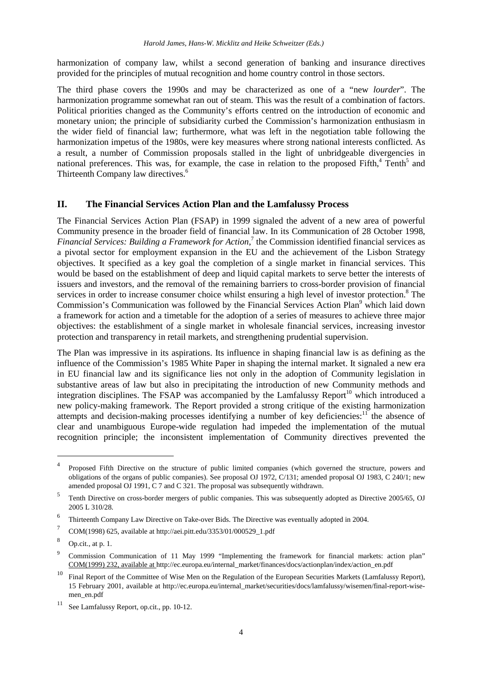harmonization of company law, whilst a second generation of banking and insurance directives provided for the principles of mutual recognition and home country control in those sectors.

The third phase covers the 1990s and may be characterized as one of a "new *lourder*". The harmonization programme somewhat ran out of steam. This was the result of a combination of factors. Political priorities changed as the Community's efforts centred on the introduction of economic and monetary union; the principle of subsidiarity curbed the Commission's harmonization enthusiasm in the wider field of financial law; furthermore, what was left in the negotiation table following the harmonization impetus of the 1980s, were key measures where strong national interests conflicted. As a result, a number of Commission proposals stalled in the light of unbridgeable divergencies in national preferences. This was, for example, the case in relation to the proposed Fifth,<sup>4</sup> Tenth<sup>5</sup> and Thirteenth Company law directives.<sup>6</sup>

#### **II. The Financial Services Action Plan and the Lamfalussy Process**

The Financial Services Action Plan (FSAP) in 1999 signaled the advent of a new area of powerful Community presence in the broader field of financial law. In its Communication of 28 October 1998, *Financial Services: Building a Framework for Action*, 7 the Commission identified financial services as a pivotal sector for employment expansion in the EU and the achievement of the Lisbon Strategy objectives. It specified as a key goal the completion of a single market in financial services. This would be based on the establishment of deep and liquid capital markets to serve better the interests of issuers and investors, and the removal of the remaining barriers to cross-border provision of financial services in order to increase consumer choice whilst ensuring a high level of investor protection.<sup>8</sup> The Commission's Communication was followed by the Financial Services Action Plan<sup>9</sup> which laid down a framework for action and a timetable for the adoption of a series of measures to achieve three major objectives: the establishment of a single market in wholesale financial services, increasing investor protection and transparency in retail markets, and strengthening prudential supervision.

The Plan was impressive in its aspirations. Its influence in shaping financial law is as defining as the influence of the Commission's 1985 White Paper in shaping the internal market. It signaled a new era in EU financial law and its significance lies not only in the adoption of Community legislation in substantive areas of law but also in precipitating the introduction of new Community methods and integration disciplines. The FSAP was accompanied by the Lamfalussy Report<sup>10</sup> which introduced a new policy-making framework. The Report provided a strong critique of the existing harmonization attempts and decision-making processes identifying a number of key deficiencies: $1\overline{1}$  the absence of clear and unambiguous Europe-wide regulation had impeded the implementation of the mutual recognition principle; the inconsistent implementation of Community directives prevented the

<sup>4</sup> Proposed Fifth Directive on the structure of public limited companies (which governed the structure, powers and obligations of the organs of public companies). See proposal OJ 1972, C/131; amended proposal OJ 1983, C 240/1; new amended proposal OJ 1991, C 7 and C 321. The proposal was subsequently withdrawn.

<sup>5</sup> Tenth Directive on cross-border mergers of public companies. This was subsequently adopted as Directive 2005/65, OJ 2005 L 310/28.

<sup>6</sup> Thirteenth Company Law Directive on Take-over Bids. The Directive was eventually adopted in 2004.

<sup>7</sup> COM(1998) 625, available at http://aei.pitt.edu/3353/01/000529\_1.pdf

<sup>8</sup> Op.cit., at p. 1.

<sup>9</sup> Commission Communication of 11 May 1999 "Implementing the framework for financial markets: action plan" COM(1999) 232, available at http://ec.europa.eu/internal\_market/finances/docs/actionplan/index/action\_en.pdf

<sup>&</sup>lt;sup>10</sup> Final Report of the Committee of Wise Men on the Regulation of the European Securities Markets (Lamfalussy Report), 15 February 2001, available at http://ec.europa.eu/internal\_market/securities/docs/lamfalussy/wisemen/final-report-wisemen\_en.pdf

<sup>11</sup> See Lamfalussy Report, op.cit., pp. 10-12.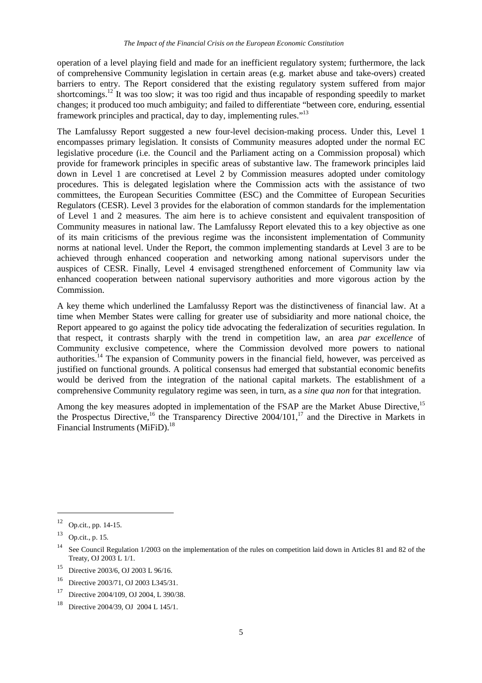operation of a level playing field and made for an inefficient regulatory system; furthermore, the lack of comprehensive Community legislation in certain areas (e.g. market abuse and take-overs) created barriers to entry. The Report considered that the existing regulatory system suffered from major shortcomings.<sup>12</sup> It was too slow; it was too rigid and thus incapable of responding speedily to market changes; it produced too much ambiguity; and failed to differentiate "between core, enduring, essential framework principles and practical, day to day, implementing rules."<sup>13</sup>

The Lamfalussy Report suggested a new four-level decision-making process. Under this, Level 1 encompasses primary legislation. It consists of Community measures adopted under the normal EC legislative procedure (i.e. the Council and the Parliament acting on a Commission proposal) which provide for framework principles in specific areas of substantive law. The framework principles laid down in Level 1 are concretised at Level 2 by Commission measures adopted under comitology procedures. This is delegated legislation where the Commission acts with the assistance of two committees, the European Securities Committee (ESC) and the Committee of European Securities Regulators (CESR). Level 3 provides for the elaboration of common standards for the implementation of Level 1 and 2 measures. The aim here is to achieve consistent and equivalent transposition of Community measures in national law. The Lamfalussy Report elevated this to a key objective as one of its main criticisms of the previous regime was the inconsistent implementation of Community norms at national level. Under the Report, the common implementing standards at Level 3 are to be achieved through enhanced cooperation and networking among national supervisors under the auspices of CESR. Finally, Level 4 envisaged strengthened enforcement of Community law via enhanced cooperation between national supervisory authorities and more vigorous action by the Commission.

A key theme which underlined the Lamfalussy Report was the distinctiveness of financial law. At a time when Member States were calling for greater use of subsidiarity and more national choice, the Report appeared to go against the policy tide advocating the federalization of securities regulation. In that respect, it contrasts sharply with the trend in competition law, an area *par excellence* of Community exclusive competence, where the Commission devolved more powers to national authorities.<sup>14</sup> The expansion of Community powers in the financial field, however, was perceived as justified on functional grounds. A political consensus had emerged that substantial economic benefits would be derived from the integration of the national capital markets. The establishment of a comprehensive Community regulatory regime was seen, in turn, as a *sine qua non* for that integration.

Among the key measures adopted in implementation of the FSAP are the Market Abuse Directive,<sup>15</sup> the Prospectus Directive,<sup>16</sup> the Transparency Directive 2004/101,<sup>17</sup> and the Directive in Markets in Financial Instruments (MiFiD).<sup>18</sup>

 $12$  Op.cit., pp. 14-15.

 $13$  Op.cit., p. 15.

<sup>&</sup>lt;sup>14</sup> See Council Regulation 1/2003 on the implementation of the rules on competition laid down in Articles 81 and 82 of the Treaty, OJ 2003 L 1/1.

<sup>15</sup> Directive 2003/6, OJ 2003 L 96/16.

<sup>16</sup> Directive 2003/71, OJ 2003 L345/31.

<sup>&</sup>lt;sup>17</sup> Directive 2004/109, OJ 2004, L 390/38.

<sup>18</sup> Directive 2004/39, OJ 2004 L 145/1.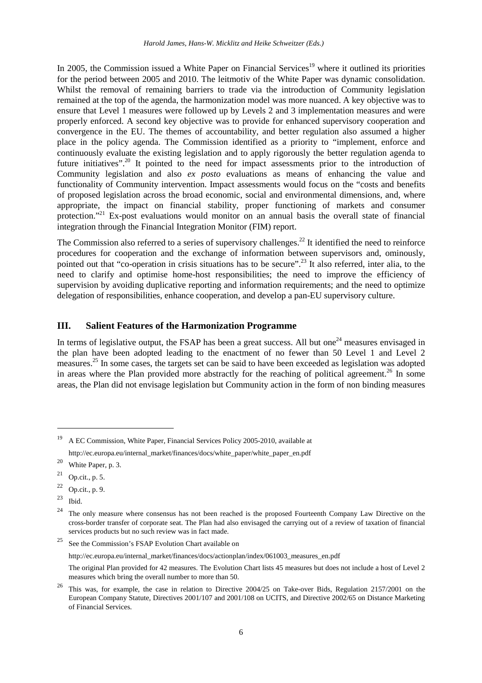In 2005, the Commission issued a White Paper on Financial Services<sup>19</sup> where it outlined its priorities for the period between 2005 and 2010. The leitmotiv of the White Paper was dynamic consolidation. Whilst the removal of remaining barriers to trade via the introduction of Community legislation remained at the top of the agenda, the harmonization model was more nuanced. A key objective was to ensure that Level 1 measures were followed up by Levels 2 and 3 implementation measures and were properly enforced. A second key objective was to provide for enhanced supervisory cooperation and convergence in the EU. The themes of accountability, and better regulation also assumed a higher place in the policy agenda. The Commission identified as a priority to "implement, enforce and continuously evaluate the existing legislation and to apply rigorously the better regulation agenda to future initiatives".<sup>20</sup> It pointed to the need for impact assessments prior to the introduction of Community legislation and also *ex posto* evaluations as means of enhancing the value and functionality of Community intervention. Impact assessments would focus on the "costs and benefits of proposed legislation across the broad economic, social and environmental dimensions, and, where appropriate, the impact on financial stability, proper functioning of markets and consumer protection."<sup>21</sup> Ex-post evaluations would monitor on an annual basis the overall state of financial integration through the Financial Integration Monitor (FIM) report.

The Commission also referred to a series of supervisory challenges.<sup>22</sup> It identified the need to reinforce procedures for cooperation and the exchange of information between supervisors and, ominously, pointed out that "co-operation in crisis situations has to be secure".<sup>23</sup> It also referred, inter alia, to the need to clarify and optimise home-host responsibilities; the need to improve the efficiency of supervision by avoiding duplicative reporting and information requirements; and the need to optimize delegation of responsibilities, enhance cooperation, and develop a pan-EU supervisory culture.

# **III. Salient Features of the Harmonization Programme**

In terms of legislative output, the FSAP has been a great success. All but one<sup>24</sup> measures envisaged in the plan have been adopted leading to the enactment of no fewer than 50 Level 1 and Level 2 measures.<sup>25</sup> In some cases, the targets set can be said to have been exceeded as legislation was adopted in areas where the Plan provided more abstractly for the reaching of political agreement.<sup>26</sup> In some areas, the Plan did not envisage legislation but Community action in the form of non binding measures

 $^{23}$  Ibid.

 $\overline{a}$ 

http://ec.europa.eu/internal\_market/finances/docs/actionplan/index/061003\_measures\_en.pdf

The original Plan provided for 42 measures. The Evolution Chart lists 45 measures but does not include a host of Level 2 measures which bring the overall number to more than 50.

<sup>&</sup>lt;sup>19</sup> A EC Commission, White Paper, Financial Services Policy 2005-2010, available at

http://ec.europa.eu/internal\_market/finances/docs/white\_paper/white\_paper\_en.pdf

<sup>&</sup>lt;sup>20</sup> White Paper, p. 3.

<sup>&</sup>lt;sup>21</sup> Op.cit., p. 5.

 $22$  Op.cit., p. 9.

<sup>&</sup>lt;sup>24</sup> The only measure where consensus has not been reached is the proposed Fourteenth Company Law Directive on the cross-border transfer of corporate seat. The Plan had also envisaged the carrying out of a review of taxation of financial services products but no such review was in fact made.

<sup>25</sup> See the Commission's FSAP Evolution Chart available on

 $^{26}$  This was, for example, the case in relation to Directive 2004/25 on Take-over Bids, Regulation 2157/2001 on the European Company Statute, Directives 2001/107 and 2001/108 on UCITS, and Directive 2002/65 on Distance Marketing of Financial Services.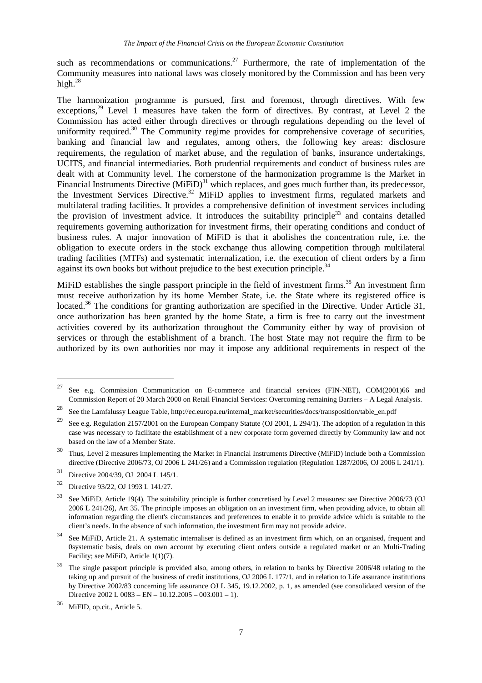such as recommendations or communications.<sup>27</sup> Furthermore, the rate of implementation of the Community measures into national laws was closely monitored by the Commission and has been very high. $^{28}$ 

The harmonization programme is pursued, first and foremost, through directives. With few exceptions,<sup>29</sup> Level 1 measures have taken the form of directives. By contrast, at Level 2 the Commission has acted either through directives or through regulations depending on the level of uniformity required.<sup>30</sup> The Community regime provides for comprehensive coverage of securities, banking and financial law and regulates, among others, the following key areas: disclosure requirements, the regulation of market abuse, and the regulation of banks, insurance undertakings, UCITS, and financial intermediaries. Both prudential requirements and conduct of business rules are dealt with at Community level. The cornerstone of the harmonization programme is the Market in Financial Instruments Directive (MiFiD)<sup>31</sup> which replaces, and goes much further than, its predecessor, the Investment Services Directive.<sup>32</sup> MiFiD applies to investment firms, regulated markets and multilateral trading facilities. It provides a comprehensive definition of investment services including the provision of investment advice. It introduces the suitability principle $33$  and contains detailed requirements governing authorization for investment firms, their operating conditions and conduct of business rules. A major innovation of MiFiD is that it abolishes the concentration rule, i.e. the obligation to execute orders in the stock exchange thus allowing competition through multilateral trading facilities (MTFs) and systematic internalization, i.e. the execution of client orders by a firm against its own books but without prejudice to the best execution principle. $34$ 

MiFiD establishes the single passport principle in the field of investment firms.<sup>35</sup> An investment firm must receive authorization by its home Member State, i.e. the State where its registered office is located.<sup>36</sup> The conditions for granting authorization are specified in the Directive. Under Article 31, once authorization has been granted by the home State, a firm is free to carry out the investment activities covered by its authorization throughout the Community either by way of provision of services or through the establishment of a branch. The host State may not require the firm to be authorized by its own authorities nor may it impose any additional requirements in respect of the

<sup>&</sup>lt;sup>27</sup> See e.g. Commission Communication on E-commerce and financial services (FIN-NET), COM(2001)66 and Commission Report of 20 March 2000 on Retail Financial Services: Overcoming remaining Barriers – A Legal Analysis.

<sup>28</sup> See the Lamfalussy League Table, http://ec.europa.eu/internal\_market/securities/docs/transposition/table\_en.pdf

See e.g. Regulation 2157/2001 on the European Company Statute (OJ 2001, L 294/1). The adoption of a regulation in this case was necessary to facilitate the establishment of a new corporate form governed directly by Community law and not based on the law of a Member State.

Thus, Level 2 measures implementing the Market in Financial Instruments Directive (MiFiD) include both a Commission directive (Directive 2006/73, OJ 2006 L 241/26) and a Commission regulation (Regulation 1287/2006, OJ 2006 L 241/1).

<sup>31</sup> Directive 2004/39, OJ 2004 L 145/1.

<sup>32</sup> Directive 93/22, OJ 1993 L 141/27.

<sup>&</sup>lt;sup>33</sup> See MiFiD, Article 19(4). The suitability principle is further concretised by Level 2 measures: see Directive 2006/73 (OJ 2006 L 241/26), Art 35. The principle imposes an obligation on an investment firm, when providing advice, to obtain all information regarding the client's circumstances and preferences to enable it to provide advice which is suitable to the client's needs. In the absence of such information, the investment firm may not provide advice.

<sup>&</sup>lt;sup>34</sup> See MiFiD, Article 21. A systematic internaliser is defined as an investment firm which, on an organised, frequent and 0systematic basis, deals on own account by executing client orders outside a regulated market or an Multi-Trading Facility; see MiFiD, Article 1(1)(7).

<sup>&</sup>lt;sup>35</sup> The single passport principle is provided also, among others, in relation to banks by Directive 2006/48 relating to the taking up and pursuit of the business of credit institutions, OJ 2006 L 177/1, and in relation to Life assurance institutions by Directive 2002/83 concerning life assurance OJ L 345, 19.12.2002, p. 1, as amended (see consolidated version of the Directive  $2002$  L  $0083 - EN - 10.12.2005 - 003.001 - 1$ .

<sup>36</sup> MiFID, op.cit., Article 5.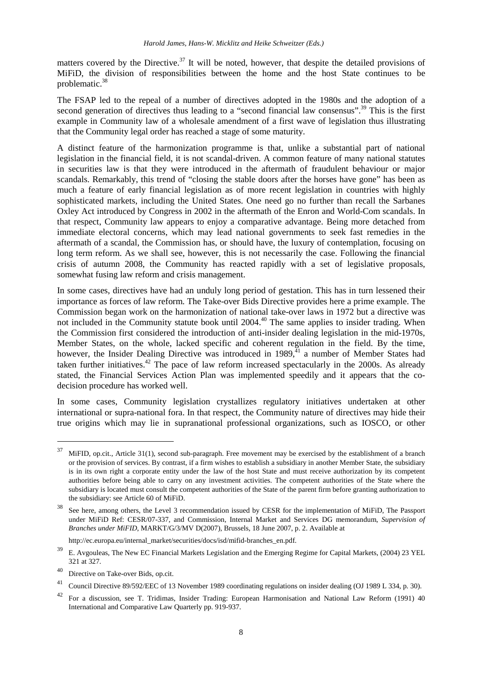matters covered by the Directive.<sup>37</sup> It will be noted, however, that despite the detailed provisions of MiFiD, the division of responsibilities between the home and the host State continues to be problematic.<sup>38</sup>

The FSAP led to the repeal of a number of directives adopted in the 1980s and the adoption of a second generation of directives thus leading to a "second financial law consensus".<sup>39</sup> This is the first example in Community law of a wholesale amendment of a first wave of legislation thus illustrating that the Community legal order has reached a stage of some maturity.

A distinct feature of the harmonization programme is that, unlike a substantial part of national legislation in the financial field, it is not scandal-driven. A common feature of many national statutes in securities law is that they were introduced in the aftermath of fraudulent behaviour or major scandals. Remarkably, this trend of "closing the stable doors after the horses have gone" has been as much a feature of early financial legislation as of more recent legislation in countries with highly sophisticated markets, including the United States. One need go no further than recall the Sarbanes Oxley Act introduced by Congress in 2002 in the aftermath of the Enron and World-Com scandals. In that respect, Community law appears to enjoy a comparative advantage. Being more detached from immediate electoral concerns, which may lead national governments to seek fast remedies in the aftermath of a scandal, the Commission has, or should have, the luxury of contemplation, focusing on long term reform. As we shall see, however, this is not necessarily the case. Following the financial crisis of autumn 2008, the Community has reacted rapidly with a set of legislative proposals, somewhat fusing law reform and crisis management.

In some cases, directives have had an unduly long period of gestation. This has in turn lessened their importance as forces of law reform. The Take-over Bids Directive provides here a prime example. The Commission began work on the harmonization of national take-over laws in 1972 but a directive was not included in the Community statute book until 2004.<sup>40</sup> The same applies to insider trading. When the Commission first considered the introduction of anti-insider dealing legislation in the mid-1970s, Member States, on the whole, lacked specific and coherent regulation in the field. By the time, however, the Insider Dealing Directive was introduced in 1989, $^{1/4}$  a number of Member States had taken further initiatives.<sup>42</sup> The pace of law reform increased spectacularly in the 2000s. As already stated, the Financial Services Action Plan was implemented speedily and it appears that the codecision procedure has worked well.

In some cases, Community legislation crystallizes regulatory initiatives undertaken at other international or supra-national fora. In that respect, the Community nature of directives may hide their true origins which may lie in supranational professional organizations, such as IOSCO, or other

 $37$  MiFID, op.cit., Article 31(1), second sub-paragraph. Free movement may be exercised by the establishment of a branch or the provision of services. By contrast, if a firm wishes to establish a subsidiary in another Member State, the subsidiary is in its own right a corporate entity under the law of the host State and must receive authorization by its competent authorities before being able to carry on any investment activities. The competent authorities of the State where the subsidiary is located must consult the competent authorities of the State of the parent firm before granting authorization to the subsidiary: see Article 60 of MiFiD.

See here, among others, the Level 3 recommendation issued by CESR for the implementation of MiFiD. The Passport under MiFiD Ref: CESR/07-337, and Commission, Internal Market and Services DG memorandum, *Supervision of Branches under MiFID*, MARKT/G/3/MV D(2007), Brussels, 18 June 2007, p. 2. Available at

http://ec.europa.eu/internal\_market/securities/docs/isd/mifid-branches\_en.pdf.

<sup>&</sup>lt;sup>39</sup> E. Avgouleas, The New EC Financial Markets Legislation and the Emerging Regime for Capital Markets, (2004) 23 YEL 321 at 327.

<sup>40</sup> Directive on Take-over Bids, op.cit.

<sup>41</sup> Council Directive 89/592/EEC of 13 November 1989 coordinating regulations on insider dealing (OJ 1989 L 334, p. 30).

<sup>&</sup>lt;sup>42</sup> For a discussion, see T. Tridimas, Insider Trading: European Harmonisation and National Law Reform (1991) 40 International and Comparative Law Quarterly pp. 919-937.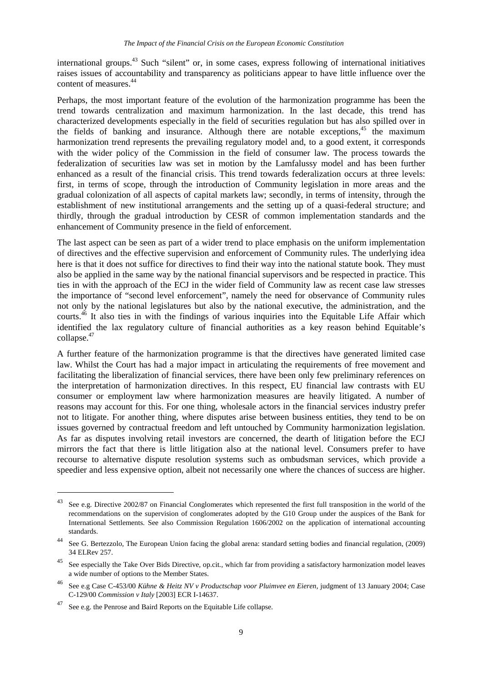international groups.<sup>43</sup> Such "silent" or, in some cases, express following of international initiatives raises issues of accountability and transparency as politicians appear to have little influence over the content of measures.<sup>44</sup>

Perhaps, the most important feature of the evolution of the harmonization programme has been the trend towards centralization and maximum harmonization. In the last decade, this trend has characterized developments especially in the field of securities regulation but has also spilled over in the fields of banking and insurance. Although there are notable exceptions,  $45$  the maximum harmonization trend represents the prevailing regulatory model and, to a good extent, it corresponds with the wider policy of the Commission in the field of consumer law. The process towards the federalization of securities law was set in motion by the Lamfalussy model and has been further enhanced as a result of the financial crisis. This trend towards federalization occurs at three levels: first, in terms of scope, through the introduction of Community legislation in more areas and the gradual colonization of all aspects of capital markets law; secondly, in terms of intensity, through the establishment of new institutional arrangements and the setting up of a quasi-federal structure; and thirdly, through the gradual introduction by CESR of common implementation standards and the enhancement of Community presence in the field of enforcement.

The last aspect can be seen as part of a wider trend to place emphasis on the uniform implementation of directives and the effective supervision and enforcement of Community rules. The underlying idea here is that it does not suffice for directives to find their way into the national statute book. They must also be applied in the same way by the national financial supervisors and be respected in practice. This ties in with the approach of the ECJ in the wider field of Community law as recent case law stresses the importance of "second level enforcement", namely the need for observance of Community rules not only by the national legislatures but also by the national executive, the administration, and the courts.<sup>46</sup> It also ties in with the findings of various inquiries into the Equitable Life Affair which identified the lax regulatory culture of financial authorities as a key reason behind Equitable's collapse.<sup>47</sup>

A further feature of the harmonization programme is that the directives have generated limited case law. Whilst the Court has had a major impact in articulating the requirements of free movement and facilitating the liberalization of financial services, there have been only few preliminary references on the interpretation of harmonization directives. In this respect, EU financial law contrasts with EU consumer or employment law where harmonization measures are heavily litigated. A number of reasons may account for this. For one thing, wholesale actors in the financial services industry prefer not to litigate. For another thing, where disputes arise between business entities, they tend to be on issues governed by contractual freedom and left untouched by Community harmonization legislation. As far as disputes involving retail investors are concerned, the dearth of litigation before the ECJ mirrors the fact that there is little litigation also at the national level. Consumers prefer to have recourse to alternative dispute resolution systems such as ombudsman services, which provide a speedier and less expensive option, albeit not necessarily one where the chances of success are higher.

<sup>43</sup> See e.g. Directive 2002/87 on Financial Conglomerates which represented the first full transposition in the world of the recommendations on the supervision of conglomerates adopted by the G10 Group under the auspices of the Bank for International Settlements. See also Commission Regulation 1606/2002 on the application of international accounting standards.

<sup>44</sup> See G. Bertezzolo, The European Union facing the global arena: standard setting bodies and financial regulation, (2009) 34 ELRev 257.

<sup>&</sup>lt;sup>45</sup> See especially the Take Over Bids Directive, op.cit., which far from providing a satisfactory harmonization model leaves a wide number of options to the Member States.

<sup>46</sup> See e.g Case C-453/00 *Kühne & Heitz NV v Productschap voor Pluimvee en Eieren*, judgment of 13 January 2004; Case C-129/00 *Commission v Italy* [2003] ECR I-14637.

<sup>47</sup> See e.g. the Penrose and Baird Reports on the Equitable Life collapse.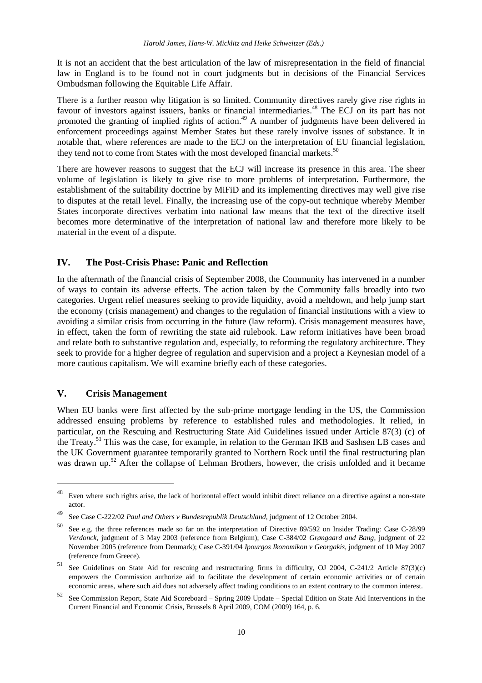It is not an accident that the best articulation of the law of misrepresentation in the field of financial law in England is to be found not in court judgments but in decisions of the Financial Services Ombudsman following the Equitable Life Affair.

There is a further reason why litigation is so limited. Community directives rarely give rise rights in favour of investors against issuers, banks or financial intermediaries.<sup>48</sup> The ECJ on its part has not promoted the granting of implied rights of action.<sup>49</sup> A number of judgments have been delivered in enforcement proceedings against Member States but these rarely involve issues of substance. It in notable that, where references are made to the ECJ on the interpretation of EU financial legislation, they tend not to come from States with the most developed financial markets.<sup>50</sup>

There are however reasons to suggest that the ECJ will increase its presence in this area. The sheer volume of legislation is likely to give rise to more problems of interpretation. Furthermore, the establishment of the suitability doctrine by MiFiD and its implementing directives may well give rise to disputes at the retail level. Finally, the increasing use of the copy-out technique whereby Member States incorporate directives verbatim into national law means that the text of the directive itself becomes more determinative of the interpretation of national law and therefore more likely to be material in the event of a dispute.

# **IV. The Post-Crisis Phase: Panic and Reflection**

In the aftermath of the financial crisis of September 2008, the Community has intervened in a number of ways to contain its adverse effects. The action taken by the Community falls broadly into two categories. Urgent relief measures seeking to provide liquidity, avoid a meltdown, and help jump start the economy (crisis management) and changes to the regulation of financial institutions with a view to avoiding a similar crisis from occurring in the future (law reform). Crisis management measures have, in effect, taken the form of rewriting the state aid rulebook. Law reform initiatives have been broad and relate both to substantive regulation and, especially, to reforming the regulatory architecture. They seek to provide for a higher degree of regulation and supervision and a project a Keynesian model of a more cautious capitalism. We will examine briefly each of these categories.

# **V. Crisis Management**

 $\overline{a}$ 

When EU banks were first affected by the sub-prime mortgage lending in the US, the Commission addressed ensuing problems by reference to established rules and methodologies. It relied, in particular, on the Rescuing and Restructuring State Aid Guidelines issued under Article 87(3) (c) of the Treaty.<sup>51</sup> This was the case, for example, in relation to the German IKB and Sashsen LB cases and the UK Government guarantee temporarily granted to Northern Rock until the final restructuring plan was drawn up.<sup>52</sup> After the collapse of Lehman Brothers, however, the crisis unfolded and it became

<sup>&</sup>lt;sup>48</sup> Even where such rights arise, the lack of horizontal effect would inhibit direct reliance on a directive against a non-state actor.

<sup>49</sup> See Case C-222/02 *Paul and Others v Bundesrepublik Deutschland*, judgment of 12 October 2004.

See e.g. the three references made so far on the interpretation of Directive 89/592 on Insider Trading: Case C-28/99 *Verdonck*, judgment of 3 May 2003 (reference from Belgium); Case C-384/02 *Grøngaard and Bang*, judgment of 22 November 2005 (reference from Denmark); Case C-391/04 *Ipourgos Ikonomikon v Georgakis*, judgment of 10 May 2007 (reference from Greece).

<sup>51</sup> See Guidelines on State Aid for rescuing and restructuring firms in difficulty, OJ 2004, C-241/2 Article 87(3)(c) empowers the Commission authorize aid to facilitate the development of certain economic activities or of certain economic areas, where such aid does not adversely affect trading conditions to an extent contrary to the common interest.

<sup>52</sup> See Commission Report, State Aid Scoreboard – Spring 2009 Update – Special Edition on State Aid Interventions in the Current Financial and Economic Crisis, Brussels 8 April 2009, COM (2009) 164, p. 6.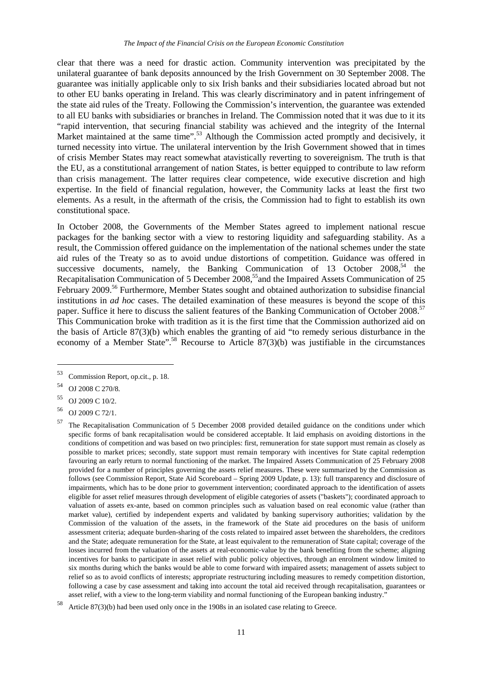clear that there was a need for drastic action. Community intervention was precipitated by the unilateral guarantee of bank deposits announced by the Irish Government on 30 September 2008. The guarantee was initially applicable only to six Irish banks and their subsidiaries located abroad but not to other EU banks operating in Ireland. This was clearly discriminatory and in patent infringement of the state aid rules of the Treaty. Following the Commission's intervention, the guarantee was extended to all EU banks with subsidiaries or branches in Ireland. The Commission noted that it was due to it its "rapid intervention, that securing financial stability was achieved and the integrity of the Internal Market maintained at the same time".<sup>53</sup> Although the Commission acted promptly and decisively, it turned necessity into virtue. The unilateral intervention by the Irish Government showed that in times of crisis Member States may react somewhat atavistically reverting to sovereignism. The truth is that the EU, as a constitutional arrangement of nation States, is better equipped to contribute to law reform than crisis management. The latter requires clear competence, wide executive discretion and high expertise. In the field of financial regulation, however, the Community lacks at least the first two elements. As a result, in the aftermath of the crisis, the Commission had to fight to establish its own constitutional space.

In October 2008, the Governments of the Member States agreed to implement national rescue packages for the banking sector with a view to restoring liquidity and safeguarding stability. As a result, the Commission offered guidance on the implementation of the national schemes under the state aid rules of the Treaty so as to avoid undue distortions of competition. Guidance was offered in successive documents, namely, the Banking Communication of 13 October  $2008$ ,<sup>54</sup> the Recapitalisation Communication of 5 December 2008,<sup>55</sup> and the Impaired Assets Communication of 25 February 2009.<sup>56</sup> Furthermore, Member States sought and obtained authorization to subsidise financial institutions in *ad hoc* cases. The detailed examination of these measures is beyond the scope of this paper. Suffice it here to discuss the salient features of the Banking Communication of October 2008.<sup>57</sup> This Communication broke with tradition as it is the first time that the Commission authorized aid on the basis of Article 87(3)(b) which enables the granting of aid "to remedy serious disturbance in the economy of a Member State".<sup>58</sup> Recourse to Article  $87(3)(b)$  was justifiable in the circumstances

 $\overline{a}$ 

 $55$  OJ 2009 C 10/2.

<sup>53</sup> Commission Report, op.cit., p. 18.

<sup>54</sup> OJ 2008 C 270/8.

<sup>56</sup> OJ 2009 C 72/1.

<sup>57</sup> The Recapitalisation Communication of 5 December 2008 provided detailed guidance on the conditions under which specific forms of bank recapitalisation would be considered acceptable. It laid emphasis on avoiding distortions in the conditions of competition and was based on two principles: first, remuneration for state support must remain as closely as possible to market prices; secondly, state support must remain temporary with incentives for State capital redemption favouring an early return to normal functioning of the market. The Impaired Assets Communication of 25 February 2008 provided for a number of principles governing the assets relief measures. These were summarized by the Commission as follows (see Commission Report, State Aid Scoreboard – Spring 2009 Update, p. 13): full transparency and disclosure of impairments, which has to be done prior to government intervention; coordinated approach to the identification of assets eligible for asset relief measures through development of eligible categories of assets ("baskets"); coordinated approach to valuation of assets ex-ante, based on common principles such as valuation based on real economic value (rather than market value), certified by independent experts and validated by banking supervisory authorities; validation by the Commission of the valuation of the assets, in the framework of the State aid procedures on the basis of uniform assessment criteria; adequate burden-sharing of the costs related to impaired asset between the shareholders, the creditors and the State; adequate remuneration for the State, at least equivalent to the remuneration of State capital; coverage of the losses incurred from the valuation of the assets at real-economic-value by the bank benefiting from the scheme; aligning incentives for banks to participate in asset relief with public policy objectives, through an enrolment window limited to six months during which the banks would be able to come forward with impaired assets; management of assets subject to relief so as to avoid conflicts of interests; appropriate restructuring including measures to remedy competition distortion, following a case by case assessment and taking into account the total aid received through recapitalisation, guarantees or asset relief, with a view to the long-term viability and normal functioning of the European banking industry."

Article 87(3)(b) had been used only once in the 1908s in an isolated case relating to Greece.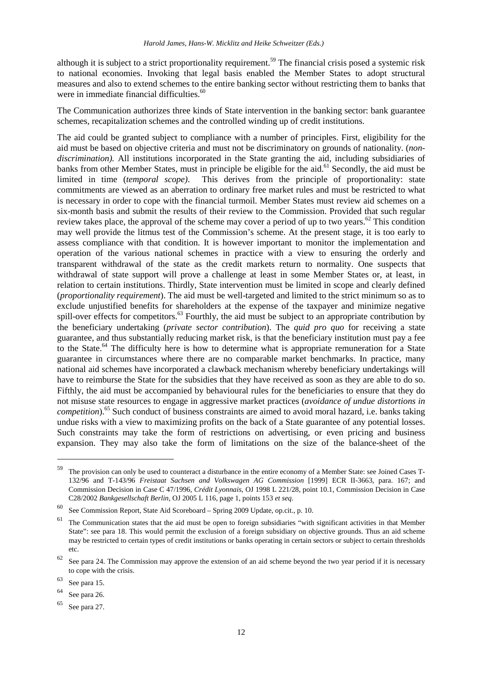although it is subject to a strict proportionality requirement.<sup>59</sup> The financial crisis posed a systemic risk to national economies. Invoking that legal basis enabled the Member States to adopt structural measures and also to extend schemes to the entire banking sector without restricting them to banks that were in immediate financial difficulties.<sup>60</sup>

The Communication authorizes three kinds of State intervention in the banking sector: bank guarantee schemes, recapitalization schemes and the controlled winding up of credit institutions.

The aid could be granted subject to compliance with a number of principles. First, eligibility for the aid must be based on objective criteria and must not be discriminatory on grounds of nationality. (*nondiscrimination).* All institutions incorporated in the State granting the aid, including subsidiaries of banks from other Member States, must in principle be eligible for the aid.<sup>61</sup> Secondly, the aid must be limited in time (*temporal scope)*. This derives from the principle of proportionality: state commitments are viewed as an aberration to ordinary free market rules and must be restricted to what is necessary in order to cope with the financial turmoil. Member States must review aid schemes on a six-month basis and submit the results of their review to the Commission. Provided that such regular review takes place, the approval of the scheme may cover a period of up to two years.<sup>62</sup> This condition may well provide the litmus test of the Commission's scheme. At the present stage, it is too early to assess compliance with that condition. It is however important to monitor the implementation and operation of the various national schemes in practice with a view to ensuring the orderly and transparent withdrawal of the state as the credit markets return to normality. One suspects that withdrawal of state support will prove a challenge at least in some Member States or, at least, in relation to certain institutions. Thirdly, State intervention must be limited in scope and clearly defined (*proportionality requirement*). The aid must be well-targeted and limited to the strict minimum so as to exclude unjustified benefits for shareholders at the expense of the taxpayer and minimize negative spill-over effects for competitors.<sup>63</sup> Fourthly, the aid must be subject to an appropriate contribution by the beneficiary undertaking (*private sector contribution*). The *quid pro quo* for receiving a state guarantee, and thus substantially reducing market risk, is that the beneficiary institution must pay a fee to the State.<sup>64</sup> The difficulty here is how to determine what is appropriate remuneration for a State guarantee in circumstances where there are no comparable market benchmarks. In practice, many national aid schemes have incorporated a clawback mechanism whereby beneficiary undertakings will have to reimburse the State for the subsidies that they have received as soon as they are able to do so. Fifthly, the aid must be accompanied by behavioural rules for the beneficiaries to ensure that they do not misuse state resources to engage in aggressive market practices (*avoidance of undue distortions in competition*).<sup>65</sup> Such conduct of business constraints are aimed to avoid moral hazard, i.e. banks taking undue risks with a view to maximizing profits on the back of a State guarantee of any potential losses. Such constraints may take the form of restrictions on advertising, or even pricing and business expansion. They may also take the form of limitations on the size of the balance-sheet of the

<sup>59</sup> The provision can only be used to counteract a disturbance in the entire economy of a Member State: see Joined Cases T-132/96 and T-143/96 *Freistaat Sachsen and Volkswagen AG Commission* [1999] ECR II-3663, para. 167; and Commission Decision in Case C 47/1996, *Crédit Lyonnais*, OJ 1998 L 221/28, point 10.1, Commission Decision in Case C28/2002 *Bankgesellschaft Berlin*, OJ 2005 L 116, page 1, points 153 *et seq.*

<sup>60</sup> See Commission Report, State Aid Scoreboard – Spring 2009 Update, op.cit., p. 10.

 $61$  The Communication states that the aid must be open to foreign subsidiaries "with significant activities in that Member State": see para 18. This would permit the exclusion of a foreign subsidiary on objective grounds. Thus an aid scheme may be restricted to certain types of credit institutions or banks operating in certain sectors or subject to certain thresholds etc.

 $62$  See para 24. The Commission may approve the extension of an aid scheme beyond the two year period if it is necessary to cope with the crisis.

 $63$  See para 15.

 $64$  See para 26.

<sup>65</sup> See para 27.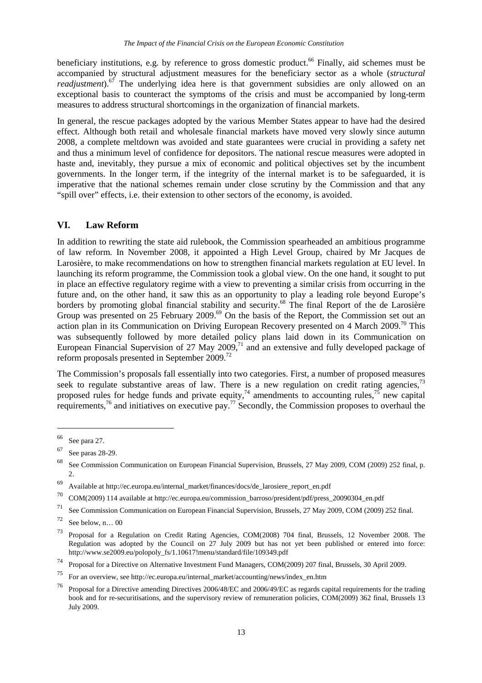beneficiary institutions, e.g. by reference to gross domestic product.<sup>66</sup> Finally, aid schemes must be accompanied by structural adjustment measures for the beneficiary sector as a whole (*structural readjustment*).<sup>67</sup> The underlying idea here is that government subsidies are only allowed on an exceptional basis to counteract the symptoms of the crisis and must be accompanied by long-term measures to address structural shortcomings in the organization of financial markets.

In general, the rescue packages adopted by the various Member States appear to have had the desired effect. Although both retail and wholesale financial markets have moved very slowly since autumn 2008, a complete meltdown was avoided and state guarantees were crucial in providing a safety net and thus a minimum level of confidence for depositors. The national rescue measures were adopted in haste and, inevitably, they pursue a mix of economic and political objectives set by the incumbent governments. In the longer term, if the integrity of the internal market is to be safeguarded, it is imperative that the national schemes remain under close scrutiny by the Commission and that any "spill over" effects, i.e. their extension to other sectors of the economy, is avoided.

#### **VI. Law Reform**

In addition to rewriting the state aid rulebook, the Commission spearheaded an ambitious programme of law reform. In November 2008, it appointed a High Level Group, chaired by Mr Jacques de Larosière, to make recommendations on how to strengthen financial markets regulation at EU level. In launching its reform programme, the Commission took a global view. On the one hand, it sought to put in place an effective regulatory regime with a view to preventing a similar crisis from occurring in the future and, on the other hand, it saw this as an opportunity to play a leading role beyond Europe's borders by promoting global financial stability and security.<sup>68</sup> The final Report of the de Larosière Group was presented on 25 February 2009.<sup>69</sup> On the basis of the Report, the Commission set out an action plan in its Communication on Driving European Recovery presented on 4 March 2009.<sup>70</sup> This was subsequently followed by more detailed policy plans laid down in its Communication on European Financial Supervision of 27 May 2009,<sup>71</sup> and an extensive and fully developed package of reform proposals presented in September 2009.<sup>72</sup>

The Commission's proposals fall essentially into two categories. First, a number of proposed measures seek to regulate substantive areas of law. There is a new regulation on credit rating agencies,  $^{73}$ proposed rules for hedge funds and private equity,<sup>74</sup> amendments to accounting rules,<sup>75</sup> new capital requirements,<sup>76</sup> and initiatives on executive pay.<sup>77</sup> Secondly, the Commission proposes to overhaul the

 $\overline{a}$ 

<sup>71</sup> See Commission Communication on European Financial Supervision, Brussels, 27 May 2009, COM (2009) 252 final.

<sup>66</sup> See para 27.

<sup>67</sup> See paras 28-29.

See Commission Communication on European Financial Supervision, Brussels, 27 May 2009, COM (2009) 252 final, p.  $2.5$ 

 $^{69}$  Available at http://ec.europa.eu/internal\_market/finances/docs/de\_larosiere\_report\_en.pdf

<sup>70</sup> COM(2009) 114 available at http://ec.europa.eu/commission\_barroso/president/pdf/press\_20090304\_en.pdf

 $72$  See below, n… 00

<sup>73</sup> Proposal for a Regulation on Credit Rating Agencies, COM(2008) 704 final, Brussels, 12 November 2008. The Regulation was adopted by the Council on 27 July 2009 but has not yet been published or entered into force: http://www.se2009.eu/polopoly\_fs/1.10617!menu/standard/file/109349.pdf

<sup>74</sup> Proposal for a Directive on Alternative Investment Fund Managers, COM(2009) 207 final, Brussels, 30 April 2009.

<sup>75</sup> For an overview, see http://ec.europa.eu/internal\_market/accounting/news/index\_en.htm

<sup>76</sup> Proposal for a Directive amending Directives 2006/48/EC and 2006/49/EC as regards capital requirements for the trading book and for re-securitisations, and the supervisory review of remuneration policies, COM(2009) 362 final, Brussels 13 July 2009.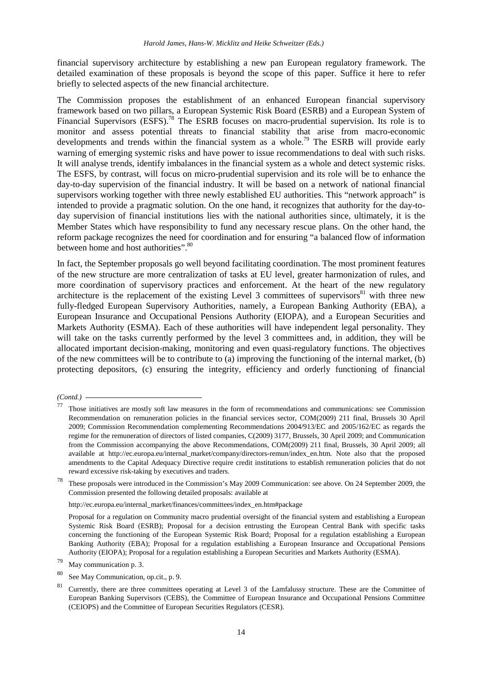financial supervisory architecture by establishing a new pan European regulatory framework. The detailed examination of these proposals is beyond the scope of this paper. Suffice it here to refer briefly to selected aspects of the new financial architecture.

The Commission proposes the establishment of an enhanced European financial supervisory framework based on two pillars, a European Systemic Risk Board (ESRB) and a European System of Financial Supervisors (ESFS).<sup>78</sup> The ESRB focuses on macro-prudential supervision. Its role is to monitor and assess potential threats to financial stability that arise from macro-economic developments and trends within the financial system as a whole.<sup>79</sup> The ESRB will provide early warning of emerging systemic risks and have power to issue recommendations to deal with such risks. It will analyse trends, identify imbalances in the financial system as a whole and detect systemic risks. The ESFS, by contrast, will focus on micro-prudential supervision and its role will be to enhance the day-to-day supervision of the financial industry. It will be based on a network of national financial supervisors working together with three newly established EU authorities. This "network approach" is intended to provide a pragmatic solution. On the one hand, it recognizes that authority for the day-today supervision of financial institutions lies with the national authorities since, ultimately, it is the Member States which have responsibility to fund any necessary rescue plans. On the other hand, the reform package recognizes the need for coordination and for ensuring "a balanced flow of information between home and host authorities".<sup>80</sup>

In fact, the September proposals go well beyond facilitating coordination. The most prominent features of the new structure are more centralization of tasks at EU level, greater harmonization of rules, and more coordination of supervisory practices and enforcement. At the heart of the new regulatory architecture is the replacement of the existing Level 3 committees of supervisors<sup>81</sup> with three new fully-fledged European Supervisory Authorities, namely, a European Banking Authority (EBA), a European Insurance and Occupational Pensions Authority (EIOPA), and a European Securities and Markets Authority (ESMA). Each of these authorities will have independent legal personality. They will take on the tasks currently performed by the level 3 committees and, in addition, they will be allocated important decision-making, monitoring and even quasi-regulatory functions. The objectives of the new committees will be to contribute to (a) improving the functioning of the internal market, (b) protecting depositors, (c) ensuring the integrity, efficiency and orderly functioning of financial

*<sup>(</sup>Contd.)* 

<sup>77</sup> Those initiatives are mostly soft law measures in the form of recommendations and communications: see Commission Recommendation on remuneration policies in the financial services sector, COM(2009) 211 final, Brussels 30 April 2009; Commission Recommendation complementing Recommendations 2004/913/EC and 2005/162/EC as regards the regime for the remuneration of directors of listed companies, C(2009) 3177, Brussels, 30 April 2009; and Communication from the Commission accompanying the above Recommendations, COM(2009) 211 final, Brussels, 30 April 2009; all available at http://ec.europa.eu/internal\_market/company/directors-remun/index\_en.htm. Note also that the proposed amendments to the Capital Adequacy Directive require credit institutions to establish remuneration policies that do not reward excessive risk-taking by executives and traders.

<sup>78</sup> These proposals were introduced in the Commission's May 2009 Communication: see above. On 24 September 2009, the Commission presented the following detailed proposals: available at

http://ec.europa.eu/internal\_market/finances/committees/index\_en.htm#package

Proposal for a regulation on Community macro prudential oversight of the financial system and establishing a European Systemic Risk Board (ESRB); Proposal for a decision entrusting the European Central Bank with specific tasks concerning the functioning of the European Systemic Risk Board; Proposal for a regulation establishing a European Banking Authority (EBA); Proposal for a regulation establishing a European Insurance and Occupational Pensions Authority (EIOPA); Proposal for a regulation establishing a European Securities and Markets Authority (ESMA).

<sup>79</sup> May communication p. 3.

<sup>80</sup> See May Communication, op.cit., p. 9.

<sup>&</sup>lt;sup>81</sup> Currently, there are three committees operating at Level 3 of the Lamfalussy structure. These are the Committee of European Banking Supervisors (CEBS), the Committee of European Insurance and Occupational Pensions Committee (CEIOPS) and the Committee of European Securities Regulators (CESR).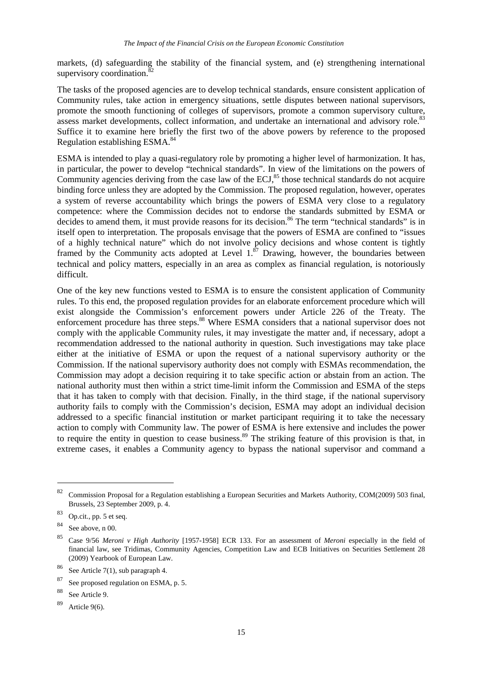markets, (d) safeguarding the stability of the financial system, and (e) strengthening international supervisory coordination.<sup>82</sup>

The tasks of the proposed agencies are to develop technical standards, ensure consistent application of Community rules, take action in emergency situations, settle disputes between national supervisors, promote the smooth functioning of colleges of supervisors, promote a common supervisory culture, assess market developments, collect information, and undertake an international and advisory role.<sup>83</sup> Suffice it to examine here briefly the first two of the above powers by reference to the proposed Regulation establishing ESMA.<sup>84</sup>

ESMA is intended to play a quasi-regulatory role by promoting a higher level of harmonization. It has, in particular, the power to develop "technical standards". In view of the limitations on the powers of Community agencies deriving from the case law of the ECJ, $^{85}$  those technical standards do not acquire binding force unless they are adopted by the Commission. The proposed regulation, however, operates a system of reverse accountability which brings the powers of ESMA very close to a regulatory competence: where the Commission decides not to endorse the standards submitted by ESMA or decides to amend them, it must provide reasons for its decision.<sup>86</sup> The term "technical standards" is in itself open to interpretation. The proposals envisage that the powers of ESMA are confined to "issues of a highly technical nature" which do not involve policy decisions and whose content is tightly framed by the Community acts adopted at Level  $1^{87}$  Drawing, however, the boundaries between technical and policy matters, especially in an area as complex as financial regulation, is notoriously difficult.

One of the key new functions vested to ESMA is to ensure the consistent application of Community rules. To this end, the proposed regulation provides for an elaborate enforcement procedure which will exist alongside the Commission's enforcement powers under Article 226 of the Treaty. The enforcement procedure has three steps.<sup>88</sup> Where ESMA considers that a national supervisor does not comply with the applicable Community rules, it may investigate the matter and, if necessary, adopt a recommendation addressed to the national authority in question. Such investigations may take place either at the initiative of ESMA or upon the request of a national supervisory authority or the Commission. If the national supervisory authority does not comply with ESMAs recommendation, the Commission may adopt a decision requiring it to take specific action or abstain from an action. The national authority must then within a strict time-limit inform the Commission and ESMA of the steps that it has taken to comply with that decision. Finally, in the third stage, if the national supervisory authority fails to comply with the Commission's decision, ESMA may adopt an individual decision addressed to a specific financial institution or market participant requiring it to take the necessary action to comply with Community law. The power of ESMA is here extensive and includes the power to require the entity in question to cease business.<sup>89</sup> The striking feature of this provision is that, in extreme cases, it enables a Community agency to bypass the national supervisor and command a

 $82$  Commission Proposal for a Regulation establishing a European Securities and Markets Authority, COM(2009) 503 final, Brussels, 23 September 2009, p. 4.

<sup>83</sup> Op.cit., pp. 5 et seq.

 $84$  See above, n 00.

<sup>85</sup> Case 9/56 *Meroni v High Authority* [1957-1958] ECR 133. For an assessment of *Meroni* especially in the field of financial law, see Tridimas, Community Agencies, Competition Law and ECB Initiatives on Securities Settlement 28 (2009) Yearbook of European Law.

<sup>&</sup>lt;sup>86</sup> See Article 7(1), sub paragraph 4.

<sup>87</sup> See proposed regulation on ESMA, p. 5.

<sup>88</sup> See Article 9.

 $89$  Article 9(6).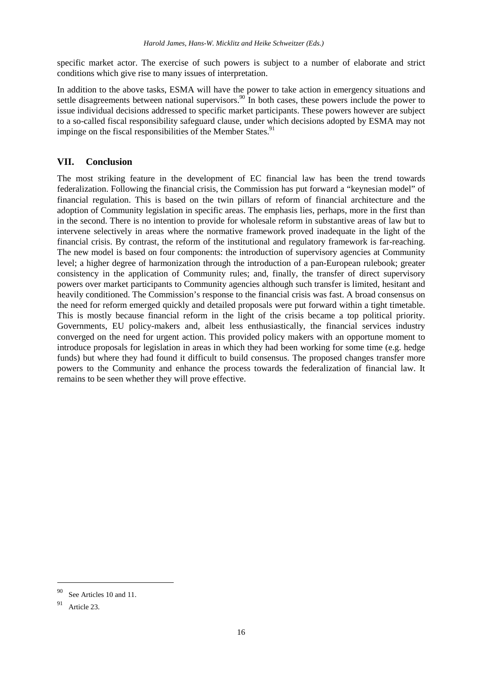specific market actor. The exercise of such powers is subject to a number of elaborate and strict conditions which give rise to many issues of interpretation.

In addition to the above tasks, ESMA will have the power to take action in emergency situations and settle disagreements between national supervisors.<sup>90</sup> In both cases, these powers include the power to issue individual decisions addressed to specific market participants. These powers however are subject to a so-called fiscal responsibility safeguard clause, under which decisions adopted by ESMA may not impinge on the fiscal responsibilities of the Member States.<sup>91</sup>

# **VII. Conclusion**

The most striking feature in the development of EC financial law has been the trend towards federalization. Following the financial crisis, the Commission has put forward a "keynesian model" of financial regulation. This is based on the twin pillars of reform of financial architecture and the adoption of Community legislation in specific areas. The emphasis lies, perhaps, more in the first than in the second. There is no intention to provide for wholesale reform in substantive areas of law but to intervene selectively in areas where the normative framework proved inadequate in the light of the financial crisis. By contrast, the reform of the institutional and regulatory framework is far-reaching. The new model is based on four components: the introduction of supervisory agencies at Community level; a higher degree of harmonization through the introduction of a pan-European rulebook; greater consistency in the application of Community rules; and, finally, the transfer of direct supervisory powers over market participants to Community agencies although such transfer is limited, hesitant and heavily conditioned. The Commission's response to the financial crisis was fast. A broad consensus on the need for reform emerged quickly and detailed proposals were put forward within a tight timetable. This is mostly because financial reform in the light of the crisis became a top political priority. Governments, EU policy-makers and, albeit less enthusiastically, the financial services industry converged on the need for urgent action. This provided policy makers with an opportune moment to introduce proposals for legislation in areas in which they had been working for some time (e.g. hedge funds) but where they had found it difficult to build consensus. The proposed changes transfer more powers to the Community and enhance the process towards the federalization of financial law. It remains to be seen whether they will prove effective.

<sup>&</sup>lt;sup>90</sup> See Articles 10 and 11.

Article 23.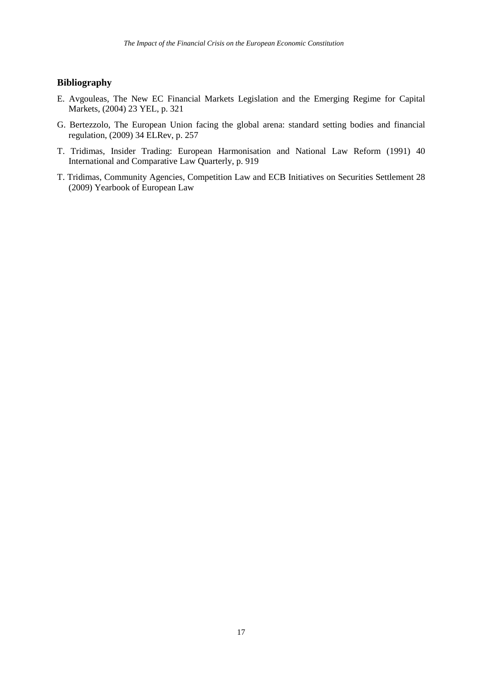#### **Bibliography**

- E. Avgouleas, The New EC Financial Markets Legislation and the Emerging Regime for Capital Markets, (2004) 23 YEL, p. 321
- G. Bertezzolo, The European Union facing the global arena: standard setting bodies and financial regulation, (2009) 34 ELRev, p. 257
- T. Tridimas, Insider Trading: European Harmonisation and National Law Reform (1991) 40 International and Comparative Law Quarterly, p. 919
- T. Tridimas, Community Agencies, Competition Law and ECB Initiatives on Securities Settlement 28 (2009) Yearbook of European Law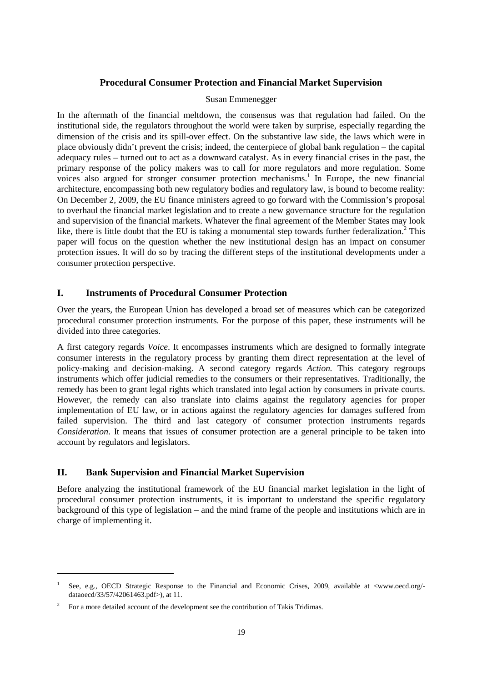# **Procedural Consumer Protection and Financial Market Supervision**

#### Susan Emmenegger

In the aftermath of the financial meltdown, the consensus was that regulation had failed. On the institutional side, the regulators throughout the world were taken by surprise, especially regarding the dimension of the crisis and its spill-over effect. On the substantive law side, the laws which were in place obviously didn't prevent the crisis; indeed, the centerpiece of global bank regulation – the capital adequacy rules – turned out to act as a downward catalyst. As in every financial crises in the past, the primary response of the policy makers was to call for more regulators and more regulation. Some voices also argued for stronger consumer protection mechanisms.<sup>1</sup> In Europe, the new financial architecture, encompassing both new regulatory bodies and regulatory law, is bound to become reality: On December 2, 2009, the EU finance ministers agreed to go forward with the Commission's proposal to overhaul the financial market legislation and to create a new governance structure for the regulation and supervision of the financial markets. Whatever the final agreement of the Member States may look like, there is little doubt that the EU is taking a monumental step towards further federalization.<sup>2</sup> This paper will focus on the question whether the new institutional design has an impact on consumer protection issues. It will do so by tracing the different steps of the institutional developments under a consumer protection perspective.

# **I. Instruments of Procedural Consumer Protection**

Over the years, the European Union has developed a broad set of measures which can be categorized procedural consumer protection instruments. For the purpose of this paper, these instruments will be divided into three categories.

A first category regards *Voice*. It encompasses instruments which are designed to formally integrate consumer interests in the regulatory process by granting them direct representation at the level of policy-making and decision-making. A second category regards *Action.* This category regroups instruments which offer judicial remedies to the consumers or their representatives. Traditionally, the remedy has been to grant legal rights which translated into legal action by consumers in private courts. However, the remedy can also translate into claims against the regulatory agencies for proper implementation of EU law, or in actions against the regulatory agencies for damages suffered from failed supervision. The third and last category of consumer protection instruments regards *Consideration*. It means that issues of consumer protection are a general principle to be taken into account by regulators and legislators.

# **II. Bank Supervision and Financial Market Supervision**

Before analyzing the institutional framework of the EU financial market legislation in the light of procedural consumer protection instruments, it is important to understand the specific regulatory background of this type of legislation – and the mind frame of the people and institutions which are in charge of implementing it.

<sup>1</sup> See, e.g., OECD Strategic Response to the Financial and Economic Crises, 2009, available at  $\langle$ www.oecd.org/dataoecd/33/57/42061463.pdf>), at 11.

<sup>2</sup> For a more detailed account of the development see the contribution of Takis Tridimas.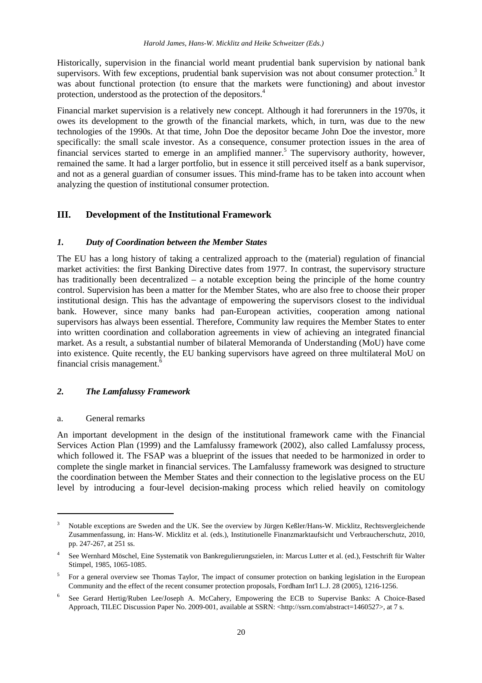Historically, supervision in the financial world meant prudential bank supervision by national bank supervisors. With few exceptions, prudential bank supervision was not about consumer protection.<sup>3</sup> It was about functional protection (to ensure that the markets were functioning) and about investor protection, understood as the protection of the depositors.<sup>4</sup>

Financial market supervision is a relatively new concept. Although it had forerunners in the 1970s, it owes its development to the growth of the financial markets, which, in turn, was due to the new technologies of the 1990s. At that time, John Doe the depositor became John Doe the investor, more specifically: the small scale investor. As a consequence, consumer protection issues in the area of financial services started to emerge in an amplified manner.<sup>5</sup> The supervisory authority, however, remained the same. It had a larger portfolio, but in essence it still perceived itself as a bank supervisor, and not as a general guardian of consumer issues. This mind-frame has to be taken into account when analyzing the question of institutional consumer protection.

# **III. Development of the Institutional Framework**

#### *1. Duty of Coordination between the Member States*

The EU has a long history of taking a centralized approach to the (material) regulation of financial market activities: the first Banking Directive dates from 1977. In contrast, the supervisory structure has traditionally been decentralized – a notable exception being the principle of the home country control. Supervision has been a matter for the Member States, who are also free to choose their proper institutional design. This has the advantage of empowering the supervisors closest to the individual bank. However, since many banks had pan-European activities, cooperation among national supervisors has always been essential. Therefore, Community law requires the Member States to enter into written coordination and collaboration agreements in view of achieving an integrated financial market. As a result, a substantial number of bilateral Memoranda of Understanding (MoU) have come into existence. Quite recently, the EU banking supervisors have agreed on three multilateral MoU on financial crisis management.<sup>6</sup>

# *2. The Lamfalussy Framework*

#### a. General remarks

 $\overline{a}$ 

An important development in the design of the institutional framework came with the Financial Services Action Plan (1999) and the Lamfalussy framework (2002), also called Lamfalussy process, which followed it. The FSAP was a blueprint of the issues that needed to be harmonized in order to complete the single market in financial services. The Lamfalussy framework was designed to structure the coordination between the Member States and their connection to the legislative process on the EU level by introducing a four-level decision-making process which relied heavily on comitology

<sup>3</sup> Notable exceptions are Sweden and the UK. See the overview by Jürgen Keßler/Hans-W. Micklitz, Rechtsvergleichende Zusammenfassung, in: Hans-W. Micklitz et al. (eds.), Institutionelle Finanzmarktaufsicht und Verbraucherschutz, 2010, pp. 247-267, at 251 ss.

<sup>4</sup> See Wernhard Möschel, Eine Systematik von Bankregulierungszielen, in: Marcus Lutter et al. (ed.), Festschrift für Walter Stimpel, 1985, 1065-1085.

<sup>5</sup> For a general overview see Thomas Taylor, The impact of consumer protection on banking legislation in the European Community and the effect of the recent consumer protection proposals, Fordham Int'l L.J. 28 (2005), 1216-1256.

<sup>6</sup> See Gerard Hertig/Ruben Lee/Joseph A. McCahery, Empowering the ECB to Supervise Banks: A Choice-Based Approach, TILEC Discussion Paper No. 2009-001, available at SSRN: <http://ssrn.com/abstract=1460527>, at 7 s.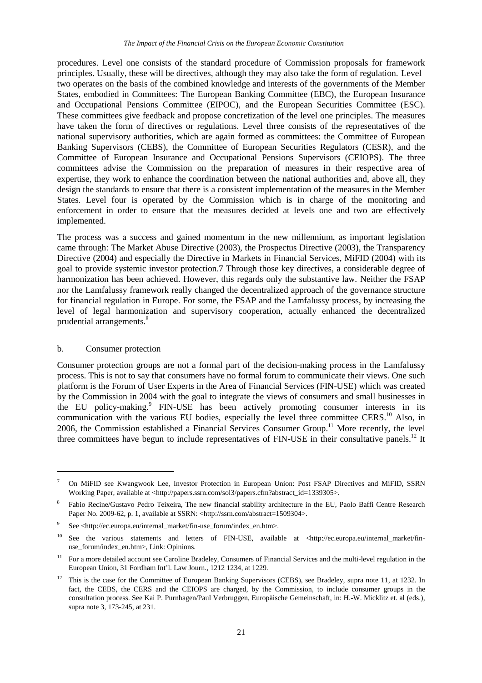procedures. Level one consists of the standard procedure of Commission proposals for framework principles. Usually, these will be directives, although they may also take the form of regulation. Level two operates on the basis of the combined knowledge and interests of the governments of the Member States, embodied in Committees: The European Banking Committee (EBC), the European Insurance and Occupational Pensions Committee (EIPOC), and the European Securities Committee (ESC). These committees give feedback and propose concretization of the level one principles. The measures have taken the form of directives or regulations. Level three consists of the representatives of the national supervisory authorities, which are again formed as committees: the Committee of European Banking Supervisors (CEBS), the Committee of European Securities Regulators (CESR), and the Committee of European Insurance and Occupational Pensions Supervisors (CEIOPS). The three committees advise the Commission on the preparation of measures in their respective area of expertise, they work to enhance the coordination between the national authorities and, above all, they design the standards to ensure that there is a consistent implementation of the measures in the Member States. Level four is operated by the Commission which is in charge of the monitoring and enforcement in order to ensure that the measures decided at levels one and two are effectively implemented.

The process was a success and gained momentum in the new millennium, as important legislation came through: The Market Abuse Directive (2003), the Prospectus Directive (2003), the Transparency Directive (2004) and especially the Directive in Markets in Financial Services, MiFID (2004) with its goal to provide systemic investor protection.7 Through those key directives, a considerable degree of harmonization has been achieved. However, this regards only the substantive law. Neither the FSAP nor the Lamfalussy framework really changed the decentralized approach of the governance structure for financial regulation in Europe. For some, the FSAP and the Lamfalussy process, by increasing the level of legal harmonization and supervisory cooperation, actually enhanced the decentralized prudential arrangements.<sup>8</sup>

#### b. Consumer protection

 $\overline{a}$ 

Consumer protection groups are not a formal part of the decision-making process in the Lamfalussy process. This is not to say that consumers have no formal forum to communicate their views. One such platform is the Forum of User Experts in the Area of Financial Services (FIN-USE) which was created by the Commission in 2004 with the goal to integrate the views of consumers and small businesses in the EU policy-making.<sup>9</sup> FIN-USE has been actively promoting consumer interests in its communication with the various EU bodies, especially the level three committee CERS.<sup>10</sup> Also, in 2006, the Commission established a Financial Services Consumer Group.<sup>11</sup> More recently, the level three committees have begun to include representatives of  $FIN-USE$  in their consultative panels.<sup>12</sup> It

<sup>7</sup> On MiFID see Kwangwook Lee, Investor Protection in European Union: Post FSAP Directives and MiFID, SSRN Working Paper, available at <http://papers.ssrn.com/sol3/papers.cfm?abstract\_id=1339305>.

<sup>8</sup> Fabio Recine/Gustavo Pedro Teixeira, The new financial stability architecture in the EU, Paolo Baffi Centre Research Paper No. 2009-62, p. 1, available at SSRN: <http://ssrn.com/abstract=1509304>.

<sup>9</sup> See <http://ec.europa.eu/internal\_market/fin-use\_forum/index\_en.htm>.

<sup>&</sup>lt;sup>10</sup> See the various statements and letters of FIN-USE, available at <http://ec.europa.eu/internal\_market/finuse forum/index en.htm>, Link: Opinions.

<sup>&</sup>lt;sup>11</sup> For a more detailed account see Caroline Bradeley, Consumers of Financial Services and the multi-level regulation in the European Union, 31 Fordham Int'l. Law Journ., 1212 1234, at 1229.

<sup>&</sup>lt;sup>12</sup> This is the case for the Committee of European Banking Supervisors (CEBS), see Bradeley, supra note 11, at 1232. In fact, the CEBS, the CERS and the CEIOPS are charged, by the Commission, to include consumer groups in the consultation process. See Kai P. Purnhagen/Paul Verbruggen, Europäische Gemeinschaft, in: H.-W. Micklitz et. al (eds.), supra note 3, 173-245, at 231.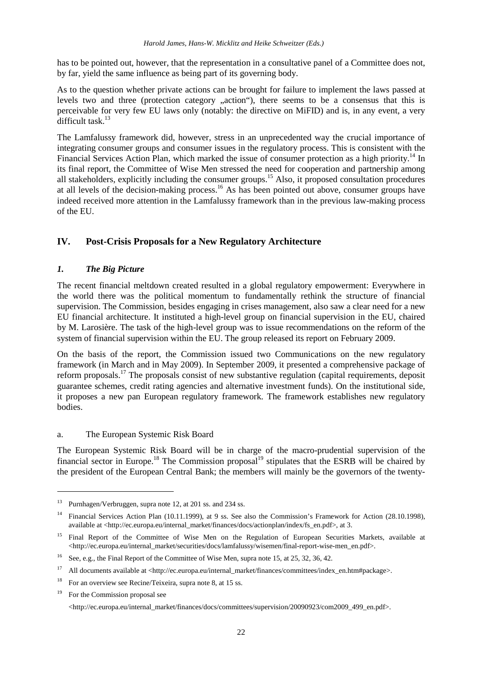has to be pointed out, however, that the representation in a consultative panel of a Committee does not, by far, yield the same influence as being part of its governing body.

As to the question whether private actions can be brought for failure to implement the laws passed at levels two and three (protection category "action"), there seems to be a consensus that this is perceivable for very few EU laws only (notably: the directive on MiFID) and is, in any event, a very difficult task. $13$ 

The Lamfalussy framework did, however, stress in an unprecedented way the crucial importance of integrating consumer groups and consumer issues in the regulatory process. This is consistent with the Financial Services Action Plan, which marked the issue of consumer protection as a high priority.<sup>14</sup> In its final report, the Committee of Wise Men stressed the need for cooperation and partnership among all stakeholders, explicitly including the consumer groups.<sup>15</sup> Also, it proposed consultation procedures at all levels of the decision-making process.<sup>16</sup> As has been pointed out above, consumer groups have indeed received more attention in the Lamfalussy framework than in the previous law-making process of the EU.

# **IV. Post-Crisis Proposals for a New Regulatory Architecture**

# *1. The Big Picture*

The recent financial meltdown created resulted in a global regulatory empowerment: Everywhere in the world there was the political momentum to fundamentally rethink the structure of financial supervision. The Commission, besides engaging in crises management, also saw a clear need for a new EU financial architecture. It instituted a high-level group on financial supervision in the EU, chaired by M. Larosière. The task of the high-level group was to issue recommendations on the reform of the system of financial supervision within the EU. The group released its report on February 2009.

On the basis of the report, the Commission issued two Communications on the new regulatory framework (in March and in May 2009). In September 2009, it presented a comprehensive package of reform proposals.<sup>17</sup> The proposals consist of new substantive regulation (capital requirements, deposit guarantee schemes, credit rating agencies and alternative investment funds). On the institutional side, it proposes a new pan European regulatory framework. The framework establishes new regulatory bodies.

#### a. The European Systemic Risk Board

The European Systemic Risk Board will be in charge of the macro-prudential supervision of the financial sector in Europe.<sup>18</sup> The Commission proposal<sup>19</sup> stipulates that the ESRB will be chaired by the president of the European Central Bank; the members will mainly be the governors of the twenty-

<sup>13</sup> Purnhagen/Verbruggen, supra note 12, at 201 ss. and 234 ss.

<sup>14</sup> Financial Services Action Plan (10.11.1999), at 9 ss. See also the Commission's Framework for Action (28.10.1998), available at <http://ec.europa.eu/internal\_market/finances/docs/actionplan/index/fs\_en.pdf>, at 3.

<sup>&</sup>lt;sup>15</sup> Final Report of the Committee of Wise Men on the Regulation of European Securities Markets, available at <http://ec.europa.eu/internal\_market/securities/docs/lamfalussy/wisemen/final-report-wise-men\_en.pdf>.

<sup>&</sup>lt;sup>16</sup> See, e.g., the Final Report of the Committee of Wise Men, supra note 15, at 25, 32, 36, 42.

<sup>&</sup>lt;sup>17</sup> All documents available at <http://ec.europa.eu/internal\_market/finances/committees/index\_en.htm#package>.

<sup>&</sup>lt;sup>18</sup> For an overview see Recine/Teixeira, supra note 8, at 15 ss.

<sup>&</sup>lt;sup>19</sup> For the Commission proposal see

<sup>&</sup>lt;http://ec.europa.eu/internal\_market/finances/docs/committees/supervision/20090923/com2009\_499\_en.pdf>.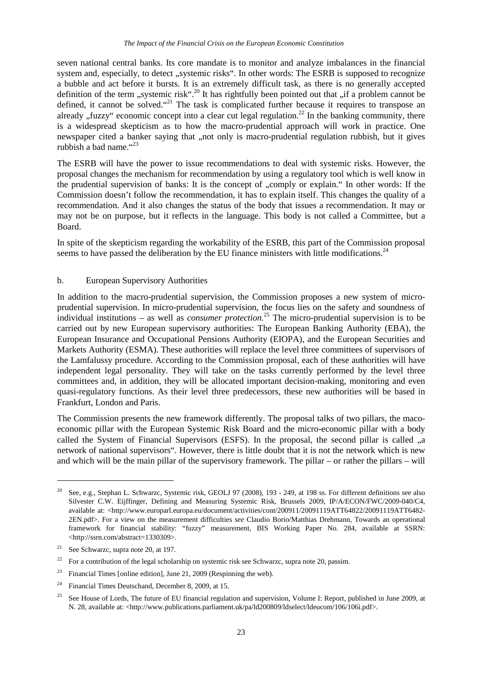seven national central banks. Its core mandate is to monitor and analyze imbalances in the financial system and, especially, to detect "systemic risks". In other words: The ESRB is supposed to recognize a bubble and act before it bursts. It is an extremely difficult task, as there is no generally accepted definition of the term "systemic risk".<sup>20</sup> It has rightfully been pointed out that "if a problem cannot be defined, it cannot be solved. $^{21}$  The task is complicated further because it requires to transpose an already "fuzzy" economic concept into a clear cut legal regulation.<sup>22</sup> In the banking community, there is a widespread skepticism as to how the macro-prudential approach will work in practice. One newspaper cited a banker saying that "not only is macro-prudential regulation rubbish, but it gives rubbish a bad name. $423$ 

The ESRB will have the power to issue recommendations to deal with systemic risks. However, the proposal changes the mechanism for recommendation by using a regulatory tool which is well know in the prudential supervision of banks: It is the concept of "comply or explain." In other words: If the Commission doesn't follow the recommendation, it has to explain itself. This changes the quality of a recommendation. And it also changes the status of the body that issues a recommendation. It may or may not be on purpose, but it reflects in the language. This body is not called a Committee, but a Board.

In spite of the skepticism regarding the workability of the ESRB, this part of the Commission proposal seems to have passed the deliberation by the EU finance ministers with little modifications.<sup>24</sup>

#### b. European Supervisory Authorities

In addition to the macro-prudential supervision, the Commission proposes a new system of microprudential supervision. In micro-prudential supervision, the focus lies on the safety and soundness of individual institutions – as well as *consumer protection.*<sup>25</sup> The micro-prudential supervision is to be carried out by new European supervisory authorities: The European Banking Authority (EBA), the European Insurance and Occupational Pensions Authority (EIOPA), and the European Securities and Markets Authority (ESMA). These authorities will replace the level three committees of supervisors of the Lamfalussy procedure. According to the Commission proposal, each of these authorities will have independent legal personality. They will take on the tasks currently performed by the level three committees and, in addition, they will be allocated important decision-making, monitoring and even quasi-regulatory functions. As their level three predecessors, these new authorities will be based in Frankfurt, London and Paris.

The Commission presents the new framework differently. The proposal talks of two pillars, the macoeconomic pillar with the European Systemic Risk Board and the micro-economic pillar with a body called the System of Financial Supervisors (ESFS). In the proposal, the second pillar is called  $\alpha$ network of national supervisors". However, there is little doubt that it is not the network which is new and which will be the main pillar of the supervisory framework. The pillar – or rather the pillars – will

<sup>20</sup> See, e.g., Stephan L. Schwarzc, Systemic risk, GEOLJ 97 (2008), 193 - 249, at 198 ss. For different definitions see also Silvester C.W. Eijffinger, Defining and Measuring Systemic Risk, Brussels 2009, IP/A/ECON/FWC/2009-040/C4, available at: <http://www.europarl.europa.eu/document/activities/cont/200911/20091119ATT64822/20091119ATT6482- 2EN.pdf>. For a view on the measurement difficulties *see* Claudio Borio/Matthias Drehmann, Towards an operational framework for financial stability: "fuzzy" measurement, BIS Working Paper No. 284, available at SSRN: <http://ssrn.com/abstract=1330309>.

<sup>&</sup>lt;sup>21</sup> See Schwarzc, supra note 20, at 197.

<sup>22</sup> For a contribution of the legal scholarship on systemic risk see Schwarzc, supra note 20, passim.

<sup>&</sup>lt;sup>23</sup> Financial Times [online edition], June 21, 2009 (Respinning the web).

<sup>&</sup>lt;sup>24</sup> Financial Times Deutschand, December 8, 2009, at 15.

<sup>&</sup>lt;sup>25</sup> See House of Lords, The future of EU financial regulation and supervision, Volume I: Report, published in June 2009, at N. 28, available at: <http://www.publications.parliament.uk/pa/ld200809/ldselect/ldeucom/106/106i.pdf>.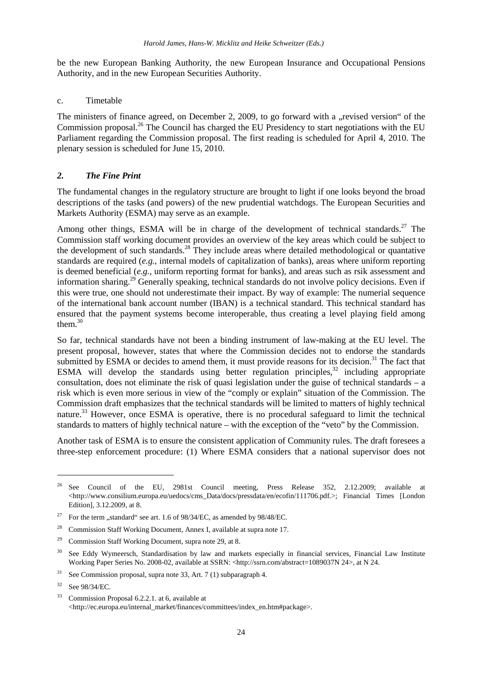be the new European Banking Authority, the new European Insurance and Occupational Pensions Authority, and in the new European Securities Authority.

c. Timetable

The ministers of finance agreed, on December 2, 2009, to go forward with a "revised version" of the Commission proposal.<sup>26</sup> The Council has charged the EU Presidency to start negotiations with the EU Parliament regarding the Commission proposal. The first reading is scheduled for April 4, 2010. The plenary session is scheduled for June 15, 2010.

#### *2. The Fine Print*

The fundamental changes in the regulatory structure are brought to light if one looks beyond the broad descriptions of the tasks (and powers) of the new prudential watchdogs. The European Securities and Markets Authority (ESMA) may serve as an example.

Among other things, ESMA will be in charge of the development of technical standards.<sup>27</sup> The Commission staff working document provides an overview of the key areas which could be subject to the development of such standards.<sup>28</sup> They include areas where detailed methodological or quantative standards are required (*e.g.,* internal models of capitalization of banks), areas where uniform reporting is deemed beneficial (*e.g.,* uniform reporting format for banks), and areas such as rsik assessment and information sharing.<sup>29</sup> Generally speaking, technical standards do not involve policy decisions. Even if this were true, one should not underestimate their impact. By way of example: The numerial sequence of the international bank account number (IBAN) is a technical standard. This technical standard has ensured that the payment systems become interoperable, thus creating a level playing field among them. $30$ 

So far, technical standards have not been a binding instrument of law-making at the EU level. The present proposal, however, states that where the Commission decides not to endorse the standards submitted by ESMA or decides to amend them, it must provide reasons for its decision.<sup>31</sup> The fact that ESMA will develop the standards using better regulation principles,  $32$  including appropriate consultation, does not eliminate the risk of quasi legislation under the guise of technical standards – a risk which is even more serious in view of the "comply or explain" situation of the Commission. The Commission draft emphasizes that the technical standards will be limited to matters of highly technical nature.<sup>33</sup> However, once ESMA is operative, there is no procedural safeguard to limit the technical standards to matters of highly technical nature – with the exception of the "veto" by the Commission.

Another task of ESMA is to ensure the consistent application of Community rules. The draft foresees a three-step enforcement procedure: (1) Where ESMA considers that a national supervisor does not

<sup>26</sup> See Council of the EU, 2981st Council meeting, Press Release 352, 2.12.2009; available at <http://www.consilium.europa.eu/uedocs/cms\_Data/docs/pressdata/en/ecofin/111706.pdf.>; Financial Times [London Edition], 3.12.2009, at 8.

<sup>&</sup>lt;sup>27</sup> For the term "standard" see art. 1.6 of 98/34/EC, as amended by 98/48/EC.

<sup>&</sup>lt;sup>28</sup> Commission Staff Working Document, Annex I, available at supra note 17.

<sup>&</sup>lt;sup>29</sup> Commission Staff Working Document, supra note 29, at 8.

<sup>&</sup>lt;sup>30</sup> See Eddy Wymeersch, Standardisation by law and markets especially in financial services, Financial Law Institute Working Paper Series No. 2008-02, available at SSRN: <http://ssrn.com/abstract=1089037N 24>, at N 24.

 $31$  See Commission proposal, supra note 33, Art. 7 (1) subparagraph 4.

<sup>32</sup> See 98/34/EC.

<sup>33</sup> Commission Proposal 6.2.2.1. at 6, available at <http://ec.europa.eu/internal\_market/finances/committees/index\_en.htm#package>.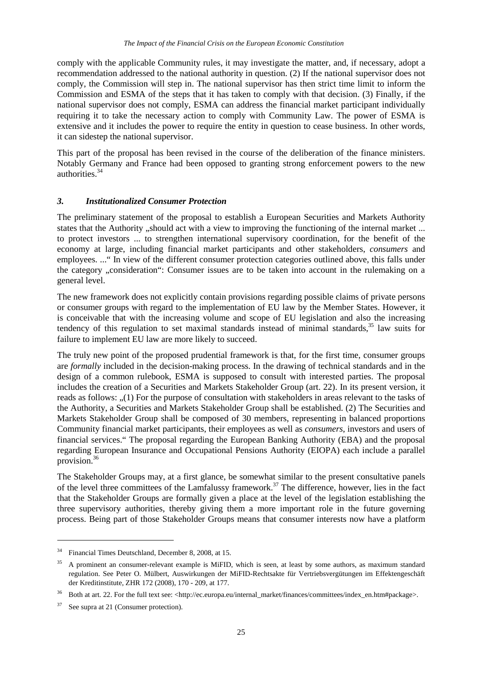comply with the applicable Community rules, it may investigate the matter, and, if necessary, adopt a recommendation addressed to the national authority in question. (2) If the national supervisor does not comply, the Commission will step in. The national supervisor has then strict time limit to inform the Commission and ESMA of the steps that it has taken to comply with that decision. (3) Finally, if the national supervisor does not comply, ESMA can address the financial market participant individually requiring it to take the necessary action to comply with Community Law. The power of ESMA is extensive and it includes the power to require the entity in question to cease business. In other words, it can sidestep the national supervisor.

This part of the proposal has been revised in the course of the deliberation of the finance ministers. Notably Germany and France had been opposed to granting strong enforcement powers to the new authorities.<sup>34</sup>

#### *3. Institutionalized Consumer Protection*

The preliminary statement of the proposal to establish a European Securities and Markets Authority states that the Authority , should act with a view to improving the functioning of the internal market ... to protect investors ... to strengthen international supervisory coordination, for the benefit of the economy at large, including financial market participants and other stakeholders, *consumers* and employees. ..." In view of the different consumer protection categories outlined above, this falls under the category , consideration": Consumer issues are to be taken into account in the rulemaking on a general level.

The new framework does not explicitly contain provisions regarding possible claims of private persons or consumer groups with regard to the implementation of EU law by the Member States. However, it is conceivable that with the increasing volume and scope of EU legislation and also the increasing tendency of this regulation to set maximal standards instead of minimal standards,  $35$  law suits for failure to implement EU law are more likely to succeed.

The truly new point of the proposed prudential framework is that, for the first time, consumer groups are *formally* included in the decision-making process. In the drawing of technical standards and in the design of a common rulebook, ESMA is supposed to consult with interested parties. The proposal includes the creation of a Securities and Markets Stakeholder Group (art. 22). In its present version, it reads as follows: ..(1) For the purpose of consultation with stakeholders in areas relevant to the tasks of the Authority, a Securities and Markets Stakeholder Group shall be established. (2) The Securities and Markets Stakeholder Group shall be composed of 30 members, representing in balanced proportions Community financial market participants, their employees as well as *consumers*, investors and users of financial services." The proposal regarding the European Banking Authority (EBA) and the proposal regarding European Insurance and Occupational Pensions Authority (EIOPA) each include a parallel provision.<sup>36</sup>

The Stakeholder Groups may, at a first glance, be somewhat similar to the present consultative panels of the level three committees of the Lamfalussy framework.<sup>37</sup> The difference, however, lies in the fact that the Stakeholder Groups are formally given a place at the level of the legislation establishing the three supervisory authorities, thereby giving them a more important role in the future governing process. Being part of those Stakeholder Groups means that consumer interests now have a platform

<sup>34</sup> Financial Times Deutschland, December 8, 2008, at 15.

<sup>&</sup>lt;sup>35</sup> A prominent an consumer-relevant example is MiFID, which is seen, at least by some authors, as maximum standard regulation. See Peter O. Mülbert, Auswirkungen der MiFID-Rechtsakte für Vertriebsvergütungen im Effektengeschäft der Kreditinstitute, ZHR 172 (2008), 170 - 209, at 177.

<sup>36</sup> Both at art. 22. For the full text see: <http://ec.europa.eu/internal\_market/finances/committees/index\_en.htm#package>.

<sup>37</sup> See supra at 21 (Consumer protection).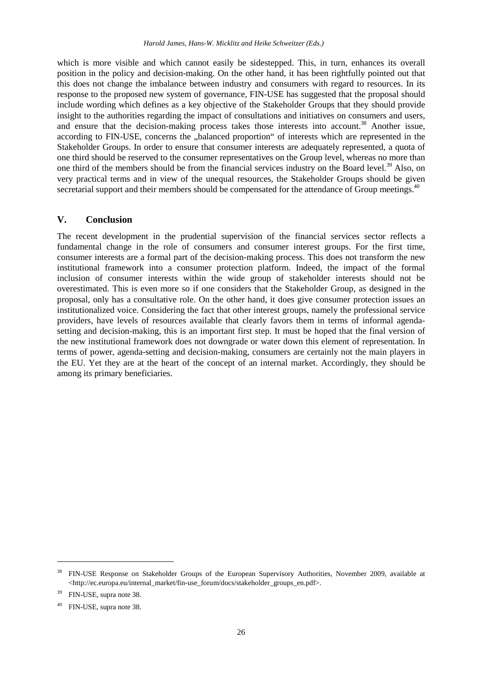which is more visible and which cannot easily be sidestepped. This, in turn, enhances its overall position in the policy and decision-making. On the other hand, it has been rightfully pointed out that this does not change the imbalance between industry and consumers with regard to resources. In its response to the proposed new system of governance, FIN-USE has suggested that the proposal should include wording which defines as a key objective of the Stakeholder Groups that they should provide insight to the authorities regarding the impact of consultations and initiatives on consumers and users, and ensure that the decision-making process takes those interests into account.<sup>38</sup> Another issue, according to FIN-USE, concerns the "balanced proportion" of interests which are represented in the Stakeholder Groups. In order to ensure that consumer interests are adequately represented, a quota of one third should be reserved to the consumer representatives on the Group level, whereas no more than one third of the members should be from the financial services industry on the Board level.<sup>39</sup> Also, on very practical terms and in view of the unequal resources, the Stakeholder Groups should be given secretarial support and their members should be compensated for the attendance of Group meetings.<sup>40</sup>

#### **V. Conclusion**

The recent development in the prudential supervision of the financial services sector reflects a fundamental change in the role of consumers and consumer interest groups. For the first time, consumer interests are a formal part of the decision-making process. This does not transform the new institutional framework into a consumer protection platform. Indeed, the impact of the formal inclusion of consumer interests within the wide group of stakeholder interests should not be overestimated. This is even more so if one considers that the Stakeholder Group, as designed in the proposal, only has a consultative role. On the other hand, it does give consumer protection issues an institutionalized voice. Considering the fact that other interest groups, namely the professional service providers, have levels of resources available that clearly favors them in terms of informal agendasetting and decision-making, this is an important first step. It must be hoped that the final version of the new institutional framework does not downgrade or water down this element of representation. In terms of power, agenda-setting and decision-making, consumers are certainly not the main players in the EU. Yet they are at the heart of the concept of an internal market. Accordingly, they should be among its primary beneficiaries.

<sup>38</sup> FIN-USE Response on Stakeholder Groups of the European Supervisory Authorities, November 2009, available at <http://ec.europa.eu/internal\_market/fin-use\_forum/docs/stakeholder\_groups\_en.pdf>.

<sup>39</sup> FIN-USE, supra note 38.

FIN-USE, supra note 38.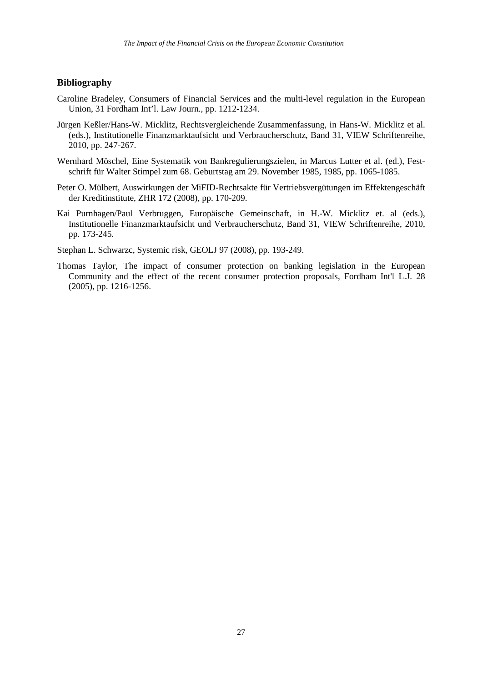### **Bibliography**

- Caroline Bradeley, Consumers of Financial Services and the multi-level regulation in the European Union, 31 Fordham Int'l. Law Journ., pp. 1212-1234.
- Jürgen Keßler/Hans-W. Micklitz, Rechtsvergleichende Zusammenfassung, in Hans-W. Micklitz et al. (eds.), Institutionelle Finanzmarktaufsicht und Verbraucherschutz, Band 31, VIEW Schriftenreihe, 2010, pp. 247-267.
- Wernhard Möschel, Eine Systematik von Bankregulierungszielen, in Marcus Lutter et al. (ed.), Festschrift für Walter Stimpel zum 68. Geburtstag am 29. November 1985, 1985, pp. 1065-1085.
- Peter O. Mülbert, Auswirkungen der MiFID-Rechtsakte für Vertriebsvergütungen im Effektengeschäft der Kreditinstitute, ZHR 172 (2008), pp. 170-209.
- Kai Purnhagen/Paul Verbruggen, Europäische Gemeinschaft, in H.-W. Micklitz et. al (eds.), Institutionelle Finanzmarktaufsicht und Verbraucherschutz, Band 31, VIEW Schriftenreihe, 2010, pp. 173-245.
- Stephan L. Schwarzc, Systemic risk, GEOLJ 97 (2008), pp. 193-249.
- Thomas Taylor, The impact of consumer protection on banking legislation in the European Community and the effect of the recent consumer protection proposals, Fordham Int'l L.J. 28 (2005), pp. 1216-1256.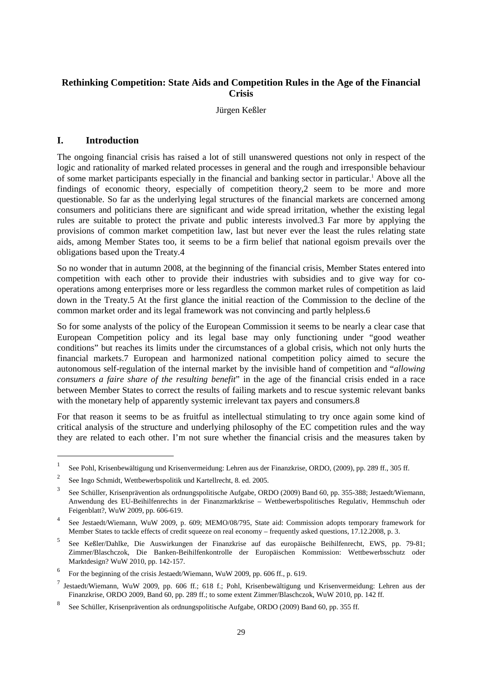# **Rethinking Competition: State Aids and Competition Rules in the Age of the Financial Crisis**

Jürgen Keßler

# **I. Introduction**

 $\overline{a}$ 

The ongoing financial crisis has raised a lot of still unanswered questions not only in respect of the logic and rationality of marked related processes in general and the rough and irresponsible behaviour of some market participants especially in the financial and banking sector in particular.<sup>1</sup> Above all the findings of economic theory, especially of competition theory,2 seem to be more and more questionable. So far as the underlying legal structures of the financial markets are concerned among consumers and politicians there are significant and wide spread irritation, whether the existing legal rules are suitable to protect the private and public interests involved.3 Far more by applying the provisions of common market competition law, last but never ever the least the rules relating state aids, among Member States too, it seems to be a firm belief that national egoism prevails over the obligations based upon the Treaty.4

So no wonder that in autumn 2008, at the beginning of the financial crisis, Member States entered into competition with each other to provide their industries with subsidies and to give way for cooperations among enterprises more or less regardless the common market rules of competition as laid down in the Treaty.5 At the first glance the initial reaction of the Commission to the decline of the common market order and its legal framework was not convincing and partly helpless.6

So for some analysts of the policy of the European Commission it seems to be nearly a clear case that European Competition policy and its legal base may only functioning under "good weather conditions" but reaches its limits under the circumstances of a global crisis, which not only hurts the financial markets.7 European and harmonized national competition policy aimed to secure the autonomous self-regulation of the internal market by the invisible hand of competition and "*allowing consumers a faire share of the resulting benefit*" in the age of the financial crisis ended in a race between Member States to correct the results of failing markets and to rescue systemic relevant banks with the monetary help of apparently systemic irrelevant tax payers and consumers.8

For that reason it seems to be as fruitful as intellectual stimulating to try once again some kind of critical analysis of the structure and underlying philosophy of the EC competition rules and the way they are related to each other. I'm not sure whether the financial crisis and the measures taken by

<sup>1</sup> See Pohl, Krisenbewältigung und Krisenvermeidung: Lehren aus der Finanzkrise, ORDO, (2009), pp. 289 ff., 305 ff.

 $\overline{2}$ See Ingo Schmidt, Wettbewerbspolitik und Kartellrecht, 8. ed. 2005.

<sup>3</sup> See Schüller, Krisenprävention als ordnungspolitische Aufgabe, ORDO (2009) Band 60, pp. 355-388; Jestaedt/Wiemann, Anwendung des EU-Beihilfenrechts in der Finanzmarktkrise – Wettbewerbspolitisches Regulativ, Hemmschuh oder Feigenblatt?, WuW 2009, pp. 606-619.

<sup>4</sup> See Jestaedt/Wiemann, WuW 2009, p. 609; MEMO/08/795, State aid: Commission adopts temporary framework for Member States to tackle effects of credit squeeze on real economy – frequently asked questions, 17.12.2008, p. 3.

<sup>5</sup> See Keßler/Dahlke, Die Auswirkungen der Finanzkrise auf das europäische Beihilfenrecht, EWS, pp. 79-81; Zimmer/Blaschczok, Die Banken-Beihilfenkontrolle der Europäischen Kommission: Wettbewerbsschutz oder Marktdesign? WuW 2010, pp. 142-157.

<sup>6</sup> For the beginning of the crisis Jestaedt/Wiemann, WuW 2009, pp. 606 ff., p. 619.

<sup>7</sup> Jestaedt/Wiemann, WuW 2009, pp. 606 ff.; 618 f.; Pohl, Krisenbewältigung und Krisenvermeidung: Lehren aus der Finanzkrise, ORDO 2009, Band 60, pp. 289 ff.; to some extent Zimmer/Blaschczok, WuW 2010, pp. 142 ff.

<sup>8</sup> See Schüller, Krisenprävention als ordnungspolitische Aufgabe, ORDO (2009) Band 60, pp. 355 ff.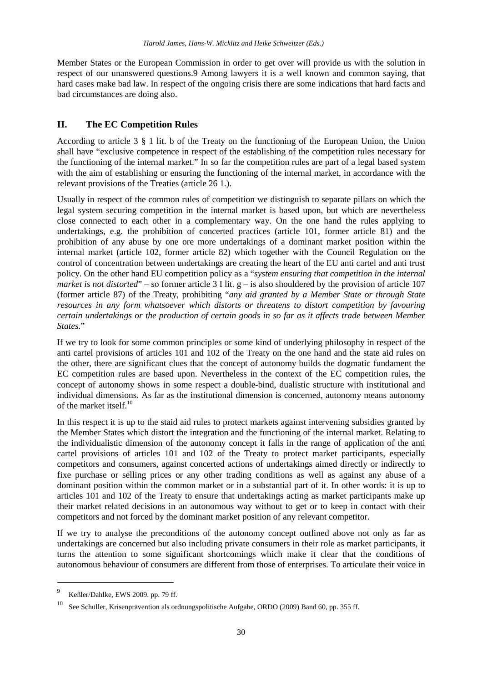Member States or the European Commission in order to get over will provide us with the solution in respect of our unanswered questions.9 Among lawyers it is a well known and common saying, that hard cases make bad law. In respect of the ongoing crisis there are some indications that hard facts and bad circumstances are doing also.

# **II. The EC Competition Rules**

According to article 3 § 1 lit. b of the Treaty on the functioning of the European Union, the Union shall have "exclusive competence in respect of the establishing of the competition rules necessary for the functioning of the internal market." In so far the competition rules are part of a legal based system with the aim of establishing or ensuring the functioning of the internal market, in accordance with the relevant provisions of the Treaties (article 26 1.).

Usually in respect of the common rules of competition we distinguish to separate pillars on which the legal system securing competition in the internal market is based upon, but which are nevertheless close connected to each other in a complementary way. On the one hand the rules applying to undertakings, e.g. the prohibition of concerted practices (article 101, former article 81) and the prohibition of any abuse by one ore more undertakings of a dominant market position within the internal market (article 102, former article 82) which together with the Council Regulation on the control of concentration between undertakings are creating the heart of the EU anti cartel and anti trust policy. On the other hand EU competition policy as a "*system ensuring that competition in the internal market is not distorted*" – so former article 3 I lit. g – is also shouldered by the provision of article 107 (former article 87) of the Treaty, prohibiting "*any aid granted by a Member State or through State resources in any form whatsoever which distorts or threatens to distort competition by favouring certain undertakings or the production of certain goods in so far as it affects trade between Member States.*"

If we try to look for some common principles or some kind of underlying philosophy in respect of the anti cartel provisions of articles 101 and 102 of the Treaty on the one hand and the state aid rules on the other, there are significant clues that the concept of autonomy builds the dogmatic fundament the EC competition rules are based upon. Nevertheless in the context of the EC competition rules, the concept of autonomy shows in some respect a double-bind, dualistic structure with institutional and individual dimensions. As far as the institutional dimension is concerned, autonomy means autonomy of the market itself  $10$ 

In this respect it is up to the staid aid rules to protect markets against intervening subsidies granted by the Member States which distort the integration and the functioning of the internal market. Relating to the individualistic dimension of the autonomy concept it falls in the range of application of the anti cartel provisions of articles 101 and 102 of the Treaty to protect market participants, especially competitors and consumers, against concerted actions of undertakings aimed directly or indirectly to fixe purchase or selling prices or any other trading conditions as well as against any abuse of a dominant position within the common market or in a substantial part of it. In other words: it is up to articles 101 and 102 of the Treaty to ensure that undertakings acting as market participants make up their market related decisions in an autonomous way without to get or to keep in contact with their competitors and not forced by the dominant market position of any relevant competitor.

If we try to analyse the preconditions of the autonomy concept outlined above not only as far as undertakings are concerned but also including private consumers in their role as market participants, it turns the attention to some significant shortcomings which make it clear that the conditions of autonomous behaviour of consumers are different from those of enterprises. To articulate their voice in

<sup>9</sup> Keßler/Dahlke, EWS 2009. pp. 79 ff.

<sup>&</sup>lt;sup>10</sup> See Schüller, Krisenprävention als ordnungspolitische Aufgabe, ORDO (2009) Band 60, pp. 355 ff.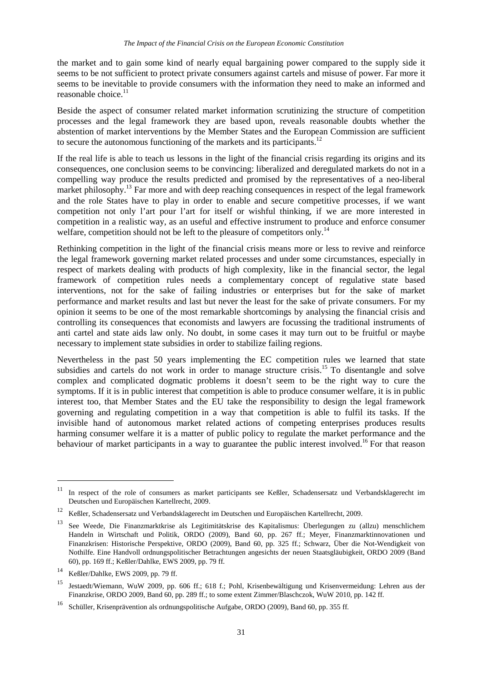the market and to gain some kind of nearly equal bargaining power compared to the supply side it seems to be not sufficient to protect private consumers against cartels and misuse of power. Far more it seems to be inevitable to provide consumers with the information they need to make an informed and reasonable choice.<sup>11</sup>

Beside the aspect of consumer related market information scrutinizing the structure of competition processes and the legal framework they are based upon, reveals reasonable doubts whether the abstention of market interventions by the Member States and the European Commission are sufficient to secure the autonomous functioning of the markets and its participants.<sup>12</sup>

If the real life is able to teach us lessons in the light of the financial crisis regarding its origins and its consequences, one conclusion seems to be convincing: liberalized and deregulated markets do not in a compelling way produce the results predicted and promised by the representatives of a neo-liberal market philosophy.<sup>13</sup> Far more and with deep reaching consequences in respect of the legal framework and the role States have to play in order to enable and secure competitive processes, if we want competition not only l'art pour l'art for itself or wishful thinking, if we are more interested in competition in a realistic way, as an useful and effective instrument to produce and enforce consumer welfare, competition should not be left to the pleasure of competitors only.<sup>14</sup>

Rethinking competition in the light of the financial crisis means more or less to revive and reinforce the legal framework governing market related processes and under some circumstances, especially in respect of markets dealing with products of high complexity, like in the financial sector, the legal framework of competition rules needs a complementary concept of regulative state based interventions, not for the sake of failing industries or enterprises but for the sake of market performance and market results and last but never the least for the sake of private consumers. For my opinion it seems to be one of the most remarkable shortcomings by analysing the financial crisis and controlling its consequences that economists and lawyers are focussing the traditional instruments of anti cartel and state aids law only. No doubt, in some cases it may turn out to be fruitful or maybe necessary to implement state subsidies in order to stabilize failing regions.

Nevertheless in the past 50 years implementing the EC competition rules we learned that state subsidies and cartels do not work in order to manage structure crisis.<sup>15</sup> To disentangle and solve complex and complicated dogmatic problems it doesn't seem to be the right way to cure the symptoms. If it is in public interest that competition is able to produce consumer welfare, it is in public interest too, that Member States and the EU take the responsibility to design the legal framework governing and regulating competition in a way that competition is able to fulfil its tasks. If the invisible hand of autonomous market related actions of competing enterprises produces results harming consumer welfare it is a matter of public policy to regulate the market performance and the behaviour of market participants in a way to guarantee the public interest involved.<sup>16</sup> For that reason

<sup>&</sup>lt;sup>11</sup> In respect of the role of consumers as market participants see Keßler, Schadensersatz und Verbandsklagerecht im Deutschen und Europäischen Kartellrecht, 2009.

<sup>12</sup> Keßler, Schadensersatz und Verbandsklagerecht im Deutschen und Europäischen Kartellrecht, 2009.

<sup>13</sup> See Weede, Die Finanzmarktkrise als Legitimitätskrise des Kapitalismus: Überlegungen zu (allzu) menschlichem Handeln in Wirtschaft und Politik, ORDO (2009), Band 60, pp. 267 ff.; Meyer, Finanzmarktinnovationen und Finanzkrisen: Historische Perspektive, ORDO (2009), Band 60, pp. 325 ff.; Schwarz, Über die Not-Wendigkeit von Nothilfe. Eine Handvoll ordnungspolitischer Betrachtungen angesichts der neuen Staatsgläubigkeit, ORDO 2009 (Band 60), pp. 169 ff.; Keßler/Dahlke, EWS 2009, pp. 79 ff.

<sup>14</sup> Keßler/Dahlke, EWS 2009, pp. 79 ff.

<sup>15</sup> Jestaedt/Wiemann, WuW 2009, pp. 606 ff.; 618 f.; Pohl, Krisenbewältigung und Krisenvermeidung: Lehren aus der Finanzkrise, ORDO 2009, Band 60, pp. 289 ff.; to some extent Zimmer/Blaschczok, WuW 2010, pp. 142 ff.

<sup>16</sup> Schüller, Krisenprävention als ordnungspolitische Aufgabe, ORDO (2009), Band 60, pp. 355 ff.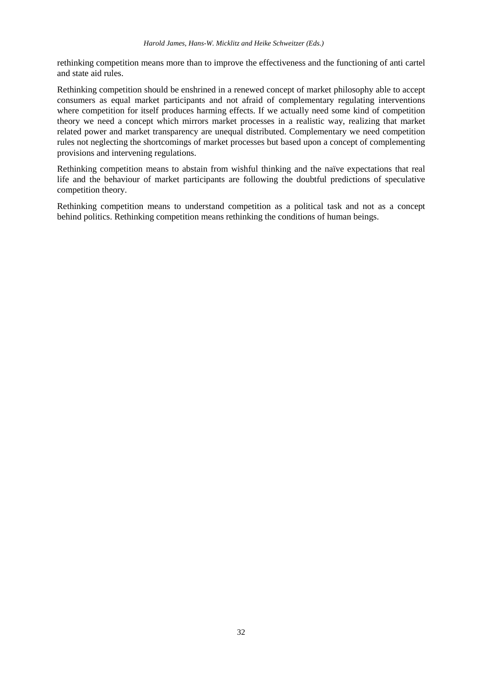rethinking competition means more than to improve the effectiveness and the functioning of anti cartel and state aid rules.

Rethinking competition should be enshrined in a renewed concept of market philosophy able to accept consumers as equal market participants and not afraid of complementary regulating interventions where competition for itself produces harming effects. If we actually need some kind of competition theory we need a concept which mirrors market processes in a realistic way, realizing that market related power and market transparency are unequal distributed. Complementary we need competition rules not neglecting the shortcomings of market processes but based upon a concept of complementing provisions and intervening regulations.

Rethinking competition means to abstain from wishful thinking and the naïve expectations that real life and the behaviour of market participants are following the doubtful predictions of speculative competition theory.

Rethinking competition means to understand competition as a political task and not as a concept behind politics. Rethinking competition means rethinking the conditions of human beings.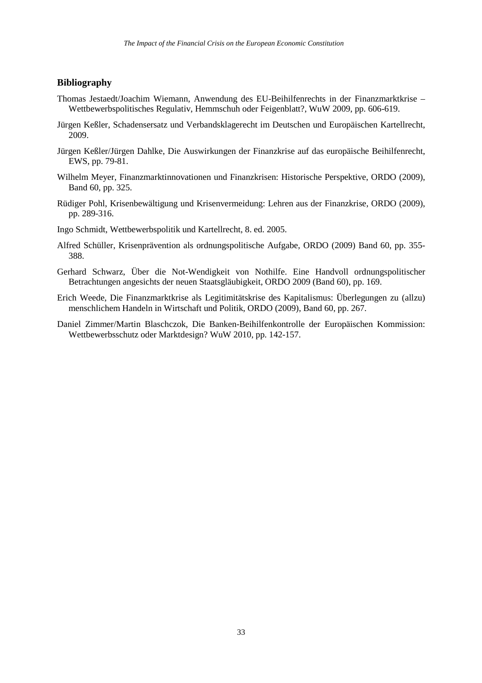# **Bibliography**

- Thomas Jestaedt/Joachim Wiemann, Anwendung des EU-Beihilfenrechts in der Finanzmarktkrise Wettbewerbspolitisches Regulativ, Hemmschuh oder Feigenblatt?, WuW 2009, pp. 606-619.
- Jürgen Keßler, Schadensersatz und Verbandsklagerecht im Deutschen und Europäischen Kartellrecht, 2009.
- Jürgen Keßler/Jürgen Dahlke, Die Auswirkungen der Finanzkrise auf das europäische Beihilfenrecht, EWS, pp. 79-81.
- Wilhelm Meyer, Finanzmarktinnovationen und Finanzkrisen: Historische Perspektive, ORDO (2009), Band 60, pp. 325.
- Rüdiger Pohl, Krisenbewältigung und Krisenvermeidung: Lehren aus der Finanzkrise, ORDO (2009), pp. 289-316.
- Ingo Schmidt, Wettbewerbspolitik und Kartellrecht, 8. ed. 2005.
- Alfred Schüller, Krisenprävention als ordnungspolitische Aufgabe, ORDO (2009) Band 60, pp. 355- 388.
- Gerhard Schwarz, Über die Not-Wendigkeit von Nothilfe. Eine Handvoll ordnungspolitischer Betrachtungen angesichts der neuen Staatsgläubigkeit, ORDO 2009 (Band 60), pp. 169.
- Erich Weede, Die Finanzmarktkrise als Legitimitätskrise des Kapitalismus: Überlegungen zu (allzu) menschlichem Handeln in Wirtschaft und Politik, ORDO (2009), Band 60, pp. 267.
- Daniel Zimmer/Martin Blaschczok, Die Banken-Beihilfenkontrolle der Europäischen Kommission: Wettbewerbsschutz oder Marktdesign? WuW 2010, pp. 142-157.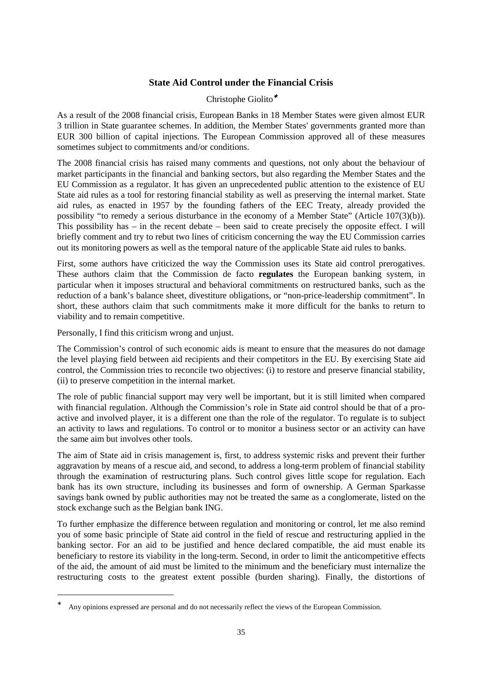# **State Aid Control under the Financial Crisis**

#### Christophe Giolito<sup>∗</sup>

As a result of the 2008 financial crisis, European Banks in 18 Member States were given almost EUR 3 trillion in State guarantee schemes. In addition, the Member States' governments granted more than EUR 300 billion of capital injections. The European Commission approved all of these measures sometimes subject to commitments and/or conditions.

The 2008 financial crisis has raised many comments and questions, not only about the behaviour of market participants in the financial and banking sectors, but also regarding the Member States and the EU Commission as a regulator. It has given an unprecedented public attention to the existence of EU State aid rules as a tool for restoring financial stability as well as preserving the internal market. State aid rules, as enacted in 1957 by the founding fathers of the EEC Treaty, already provided the possibility "to remedy a serious disturbance in the economy of a Member State" (Article 107(3)(b)). This possibility has – in the recent debate – been said to create precisely the opposite effect. I will briefly comment and try to rebut two lines of criticism concerning the way the EU Commission carries out its monitoring powers as well as the temporal nature of the applicable State aid rules to banks.

First, some authors have criticized the way the Commission uses its State aid control prerogatives. These authors claim that the Commission de facto **regulates** the European banking system, in particular when it imposes structural and behavioral commitments on restructured banks, such as the reduction of a bank's balance sheet, divestiture obligations, or "non-price-leadership commitment". In short, these authors claim that such commitments make it more difficult for the banks to return to viability and to remain competitive.

Personally, I find this criticism wrong and unjust.

 $\overline{a}$ 

The Commission's control of such economic aids is meant to ensure that the measures do not damage the level playing field between aid recipients and their competitors in the EU. By exercising State aid control, the Commission tries to reconcile two objectives: (i) to restore and preserve financial stability, (ii) to preserve competition in the internal market.

The role of public financial support may very well be important, but it is still limited when compared with financial regulation. Although the Commission's role in State aid control should be that of a proactive and involved player, it is a different one than the role of the regulator. To regulate is to subject an activity to laws and regulations. To control or to monitor a business sector or an activity can have the same aim but involves other tools.

The aim of State aid in crisis management is, first, to address systemic risks and prevent their further aggravation by means of a rescue aid, and second, to address a long-term problem of financial stability through the examination of restructuring plans. Such control gives little scope for regulation. Each bank has its own structure, including its businesses and form of ownership. A German Sparkasse savings bank owned by public authorities may not be treated the same as a conglomerate, listed on the stock exchange such as the Belgian bank ING.

To further emphasize the difference between regulation and monitoring or control, let me also remind you of some basic principle of State aid control in the field of rescue and restructuring applied in the banking sector. For an aid to be justified and hence declared compatible, the aid must enable its beneficiary to restore its viability in the long-term. Second, in order to limit the anticompetitive effects of the aid, the amount of aid must be limited to the minimum and the beneficiary must internalize the restructuring costs to the greatest extent possible (burden sharing). Finally, the distortions of

<sup>∗</sup> Any opinions expressed are personal and do not necessarily reflect the views of the European Commission.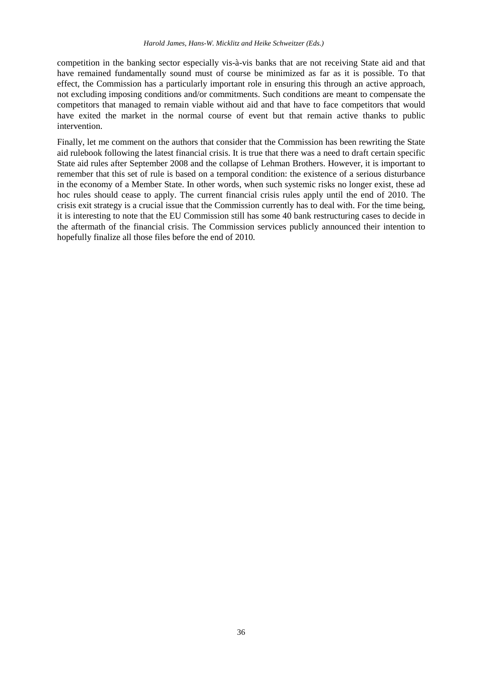competition in the banking sector especially vis-à-vis banks that are not receiving State aid and that have remained fundamentally sound must of course be minimized as far as it is possible. To that effect, the Commission has a particularly important role in ensuring this through an active approach, not excluding imposing conditions and/or commitments. Such conditions are meant to compensate the competitors that managed to remain viable without aid and that have to face competitors that would have exited the market in the normal course of event but that remain active thanks to public intervention.

Finally, let me comment on the authors that consider that the Commission has been rewriting the State aid rulebook following the latest financial crisis. It is true that there was a need to draft certain specific State aid rules after September 2008 and the collapse of Lehman Brothers. However, it is important to remember that this set of rule is based on a temporal condition: the existence of a serious disturbance in the economy of a Member State. In other words, when such systemic risks no longer exist, these ad hoc rules should cease to apply. The current financial crisis rules apply until the end of 2010. The crisis exit strategy is a crucial issue that the Commission currently has to deal with. For the time being, it is interesting to note that the EU Commission still has some 40 bank restructuring cases to decide in the aftermath of the financial crisis. The Commission services publicly announced their intention to hopefully finalize all those files before the end of 2010.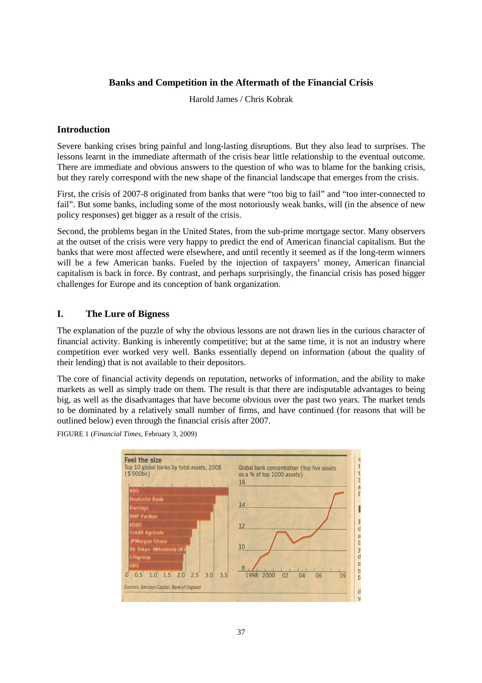# **Banks and Competition in the Aftermath of the Financial Crisis**

Harold James / Chris Kobrak

# **Introduction**

Severe banking crises bring painful and long-lasting disruptions. But they also lead to surprises. The lessons learnt in the immediate aftermath of the crisis bear little relationship to the eventual outcome. There are immediate and obvious answers to the question of who was to blame for the banking crisis, but they rarely correspond with the new shape of the financial landscape that emerges from the crisis.

First, the crisis of 2007-8 originated from banks that were "too big to fail" and "too inter-connected to fail". But some banks, including some of the most notoriously weak banks, will (in the absence of new policy responses) get bigger as a result of the crisis.

Second, the problems began in the United States, from the sub-prime mortgage sector. Many observers at the outset of the crisis were very happy to predict the end of American financial capitalism. But the banks that were most affected were elsewhere, and until recently it seemed as if the long-term winners will be a few American banks. Fueled by the injection of taxpayers' money, American financial capitalism is back in force. By contrast, and perhaps surprisingly, the financial crisis has posed bigger challenges for Europe and its conception of bank organization.

# **I. The Lure of Bigness**

The explanation of the puzzle of why the obvious lessons are not drawn lies in the curious character of financial activity. Banking is inherently competitive; but at the same time, it is not an industry where competition ever worked very well. Banks essentially depend on information (about the quality of their lending) that is not available to their depositors.

The core of financial activity depends on reputation, networks of information, and the ability to make markets as well as simply trade on them. The result is that there are indisputable advantages to being big, as well as the disadvantages that have become obvious over the past two years. The market tends to be dominated by a relatively small number of firms, and have continued (for reasons that will be outlined below) even through the financial crisis after 2007.

FIGURE 1 (*Financial Times*, February 3, 2009)

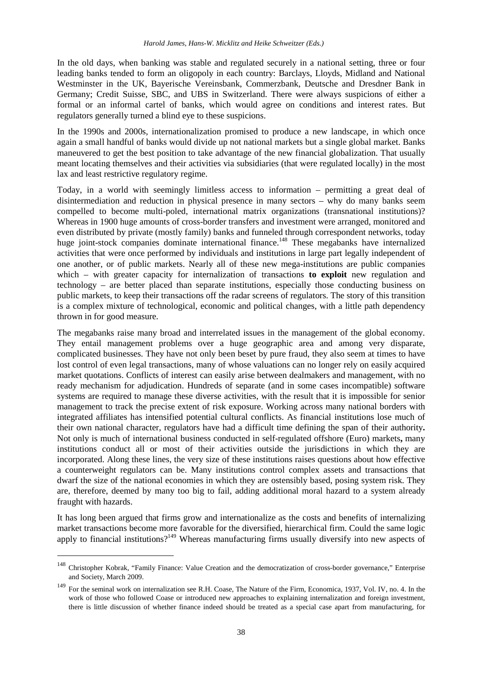In the old days, when banking was stable and regulated securely in a national setting, three or four leading banks tended to form an oligopoly in each country: Barclays, Lloyds, Midland and National Westminster in the UK, Bayerische Vereinsbank, Commerzbank, Deutsche and Dresdner Bank in Germany; Credit Suisse, SBC, and UBS in Switzerland. There were always suspicions of either a formal or an informal cartel of banks, which would agree on conditions and interest rates. But regulators generally turned a blind eye to these suspicions.

In the 1990s and 2000s, internationalization promised to produce a new landscape, in which once again a small handful of banks would divide up not national markets but a single global market. Banks maneuvered to get the best position to take advantage of the new financial globalization. That usually meant locating themselves and their activities via subsidiaries (that were regulated locally) in the most lax and least restrictive regulatory regime.

Today, in a world with seemingly limitless access to information – permitting a great deal of disintermediation and reduction in physical presence in many sectors – why do many banks seem compelled to become multi-poled, international matrix organizations (transnational institutions)? Whereas in 1900 huge amounts of cross-border transfers and investment were arranged, monitored and even distributed by private (mostly family) banks and funneled through correspondent networks, today huge joint-stock companies dominate international finance.<sup>148</sup> These megabanks have internalized activities that were once performed by individuals and institutions in large part legally independent of one another, or of public markets. Nearly all of these new mega-institutions are public companies which – with greater capacity for internalization of transactions **to exploit** new regulation and technology – are better placed than separate institutions, especially those conducting business on public markets, to keep their transactions off the radar screens of regulators. The story of this transition is a complex mixture of technological, economic and political changes, with a little path dependency thrown in for good measure.

The megabanks raise many broad and interrelated issues in the management of the global economy. They entail management problems over a huge geographic area and among very disparate, complicated businesses. They have not only been beset by pure fraud, they also seem at times to have lost control of even legal transactions, many of whose valuations can no longer rely on easily acquired market quotations. Conflicts of interest can easily arise between dealmakers and management, with no ready mechanism for adjudication. Hundreds of separate (and in some cases incompatible) software systems are required to manage these diverse activities, with the result that it is impossible for senior management to track the precise extent of risk exposure. Working across many national borders with integrated affiliates has intensified potential cultural conflicts. As financial institutions lose much of their own national character, regulators have had a difficult time defining the span of their authority**.**  Not only is much of international business conducted in self-regulated offshore (Euro) markets**,** many institutions conduct all or most of their activities outside the jurisdictions in which they are incorporated. Along these lines, the very size of these institutions raises questions about how effective a counterweight regulators can be. Many institutions control complex assets and transactions that dwarf the size of the national economies in which they are ostensibly based, posing system risk. They are, therefore, deemed by many too big to fail, adding additional moral hazard to a system already fraught with hazards.

It has long been argued that firms grow and internationalize as the costs and benefits of internalizing market transactions become more favorable for the diversified, hierarchical firm. Could the same logic apply to financial institutions?<sup>149</sup> Whereas manufacturing firms usually diversify into new aspects of

<sup>&</sup>lt;sup>148</sup> Christopher Kobrak, "Family Finance: Value Creation and the democratization of cross-border governance," Enterprise and Society, March 2009.

<sup>&</sup>lt;sup>149</sup> For the seminal work on internalization see R.H. Coase, The Nature of the Firm, Economica, 1937, Vol. IV, no. 4. In the work of those who followed Coase or introduced new approaches to explaining internalization and foreign investment, there is little discussion of whether finance indeed should be treated as a special case apart from manufacturing, for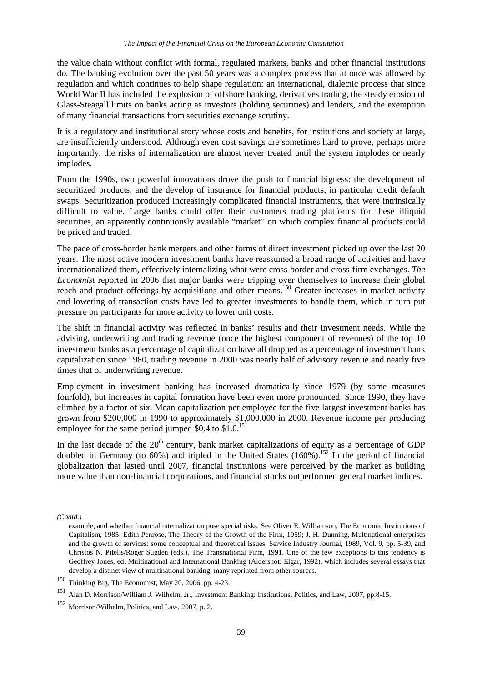the value chain without conflict with formal, regulated markets, banks and other financial institutions d*o.* The banking evolution over the past 50 years was a complex process that at once was allowed by regulation and which continues to help shape regulation: an international, dialectic process that since World War II has included the explosion of offshore banking, derivatives trading, the steady erosion of Glass-Steagall limits on banks acting as investors (holding securities) and lenders, and the exemption of many financial transactions from securities exchange scrutiny.

It is a regulatory and institutional story whose costs and benefits, for institutions and society at large, are insufficiently understood. Although even cost savings are sometimes hard to prove, perhaps more importantly, the risks of internalization are almost never treated until the system implodes or nearly implodes.

From the 1990s, two powerful innovations drove the push to financial bigness: the development of securitized products, and the develop of insurance for financial products, in particular credit default swaps. Securitization produced increasingly complicated financial instruments, that were intrinsically difficult to value. Large banks could offer their customers trading platforms for these illiquid securities, an apparently continuously available "market" on which complex financial products could be priced and traded.

The pace of cross-border bank mergers and other forms of direct investment picked up over the last 20 years. The most active modern investment banks have reassumed a broad range of activities and have internationalized them, effectively internalizing what were cross-border and cross-firm exchanges. *The Economist* reported in 2006 that major banks were tripping over themselves to increase their global reach and product offerings by acquisitions and other means.<sup>150</sup> Greater increases in market activity and lowering of transaction costs have led to greater investments to handle them, which in turn put pressure on participants for more activity to lower unit costs.

The shift in financial activity was reflected in banks' results and their investment needs. While the advising, underwriting and trading revenue (once the highest component of revenues) of the top 10 investment banks as a percentage of capitalization have all dropped as a percentage of investment bank capitalization since 1980, trading revenue in 2000 was nearly half of advisory revenue and nearly five times that of underwriting revenue.

Employment in investment banking has increased dramatically since 1979 (by some measures fourfold), but increases in capital formation have been even more pronounced. Since 1990, they have climbed by a factor of six. Mean capitalization per employee for the five largest investment banks has grown from \$200,000 in 1990 to approximately \$1,000,000 in 2000. Revenue income per producing employee for the same period jumped  $$0.4$  to  $$1.0<sup>151</sup>$ 

In the last decade of the  $20<sup>th</sup>$  century, bank market capitalizations of equity as a percentage of GDP doubled in Germany (to  $60\%$ ) and tripled in the United States  $(160\%)$ <sup>152</sup> In the period of financial globalization that lasted until 2007, financial institutions were perceived by the market as building more value than non-financial corporations, and financial stocks outperformed general market indices.

*<sup>(</sup>Contd.)* 

example, and whether financial internalization pose special risks. See Oliver E. Williamson, The Economic Institutions of Capitalism, 1985; Edith Penrose, The Theory of the Growth of the Firm, 1959; J. H. Dunning, Multinational enterprises and the growth of services: some conceptual and theoretical issues, Service Industry Journal, 1989, Vol. 9, pp. 5-39, and Christos N. Pitelis/Roger Sugden (eds.), The Transnational Firm, 1991. One of the few exceptions to this tendency is Geoffrey Jones, ed. Multinational and International Banking (Aldershot: Elgar, 1992), which includes several essays that develop a distinct view of multinational banking, many reprinted from other sources.

<sup>150</sup> Thinking Big, The Economist, May 20, 2006, pp. 4-23.

<sup>151</sup> Alan D. Morrison/William J. Wilhelm, Jr., Investment Banking: Institutions, Politics, and Law, 2007, pp.8-15.

<sup>152</sup> Morrison/Wilhelm, Politics, and Law, 2007, p. 2.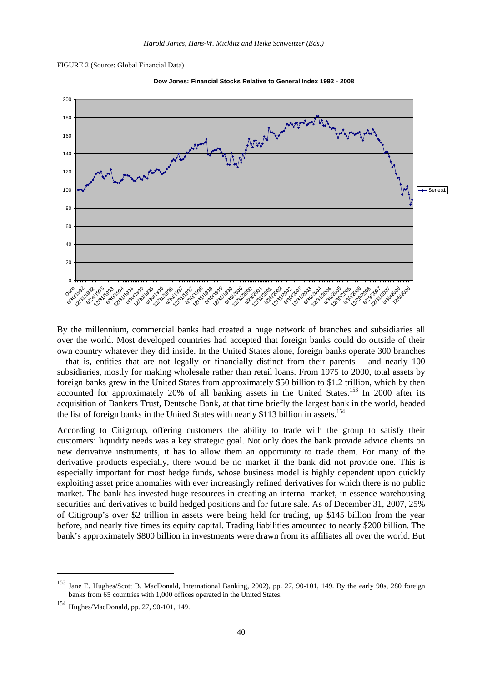





By the millennium, commercial banks had created a huge network of branches and subsidiaries all over the world. Most developed countries had accepted that foreign banks could do outside of their own country whatever they did inside. In the United States alone, foreign banks operate 300 branches – that is, entities that are not legally or financially distinct from their parents – and nearly 100 subsidiaries, mostly for making wholesale rather than retail loans. From 1975 to 2000, total assets by foreign banks grew in the United States from approximately \$50 billion to \$1.2 trillion, which by then accounted for approximately 20% of all banking assets in the United States.<sup>153</sup> In 2000 after its acquisition of Bankers Trust, Deutsche Bank, at that time briefly the largest bank in the world, headed the list of foreign banks in the United States with nearly \$113 billion in assets.<sup>154</sup>

According to Citigroup, offering customers the ability to trade with the group to satisfy their customers' liquidity needs was a key strategic goal. Not only does the bank provide advice clients on new derivative instruments, it has to allow them an opportunity to trade them. For many of the derivative products especially, there would be no market if the bank did not provide one. This is especially important for most hedge funds, whose business model is highly dependent upon quickly exploiting asset price anomalies with ever increasingly refined derivatives for which there is no public market. The bank has invested huge resources in creating an internal market, in essence warehousing securities and derivatives to build hedged positions and for future sale. As of December 31, 2007, 25% of Citigroup's over \$2 trillion in assets were being held for trading, up \$145 billion from the year before, and nearly five times its equity capital. Trading liabilities amounted to nearly \$200 billion. The bank's approximately \$800 billion in investments were drawn from its affiliates all over the world. But

Jane E. Hughes/Scott B. MacDonald, International Banking, 2002), pp. 27, 90-101, 149. By the early 90s, 280 foreign banks from 65 countries with 1,000 offices operated in the United States.

<sup>154</sup> Hughes/MacDonald, pp. 27, 90-101, 149.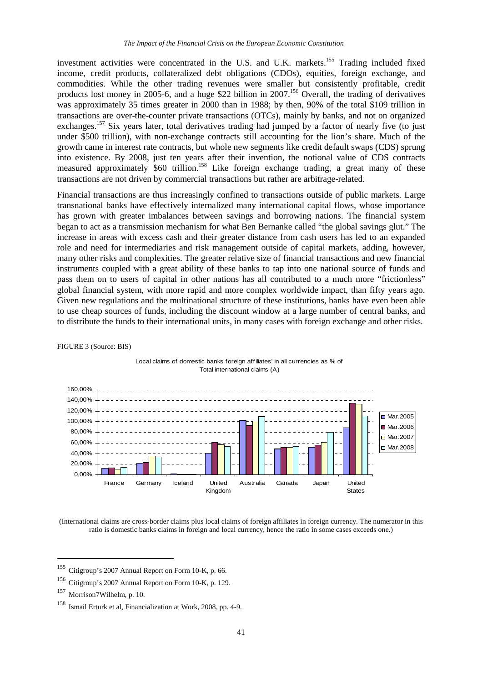investment activities were concentrated in the U.S. and U.K. markets.<sup>155</sup> Trading included fixed income, credit products, collateralized debt obligations (CDOs), equities, foreign exchange, and commodities. While the other trading revenues were smaller but consistently profitable, credit products lost money in 2005-6, and a huge \$22 billion in 2007.<sup>156</sup> Overall, the trading of derivatives was approximately 35 times greater in 2000 than in 1988; by then, 90% of the total \$109 trillion in transactions are over-the-counter private transactions (OTCs), mainly by banks, and not on organized exchanges.<sup>157</sup> Six years later, total derivatives trading had jumped by a factor of nearly five (to just under \$500 trillion), with non-exchange contracts still accounting for the lion's share. Much of the growth came in interest rate contracts, but whole new segments like credit default swaps (CDS) sprung into existence. By 2008, just ten years after their invention, the notional value of CDS contracts measured approximately \$60 trillion.<sup>158</sup> Like foreign exchange trading, a great many of these transactions are not driven by commercial transactions but rather are arbitrage-related.

Financial transactions are thus increasingly confined to transactions outside of public markets. Large transnational banks have effectively internalized many international capital flows, whose importance has grown with greater imbalances between savings and borrowing nations. The financial system began to act as a transmission mechanism for what Ben Bernanke called "the global savings glut." The increase in areas with excess cash and their greater distance from cash users has led to an expanded role and need for intermediaries and risk management outside of capital markets, adding, however, many other risks and complexities. The greater relative size of financial transactions and new financial instruments coupled with a great ability of these banks to tap into one national source of funds and pass them on to users of capital in other nations has all contributed to a much more "frictionless" global financial system, with more rapid and more complex worldwide impact, than fifty years ago. Given new regulations and the multinational structure of these institutions, banks have even been able to use cheap sources of funds, including the discount window at a large number of central banks, and to distribute the funds to their international units, in many cases with foreign exchange and other risks.



#### FIGURE 3 (Source: BIS)

(International claims are cross-border claims plus local claims of foreign affiliates in foreign currency. The numerator in this ratio is domestic banks claims in foreign and local currency, hence the ratio in some cases exceeds one.)

<sup>155</sup> Citigroup's 2007 Annual Report on Form 10-K, p. 66.

<sup>156</sup> Citigroup's 2007 Annual Report on Form 10-K, p. 129.

<sup>157</sup> Morrison7Wilhelm, p. 10.

<sup>158</sup> Ismail Erturk et al, Financialization at Work, 2008, pp. 4-9.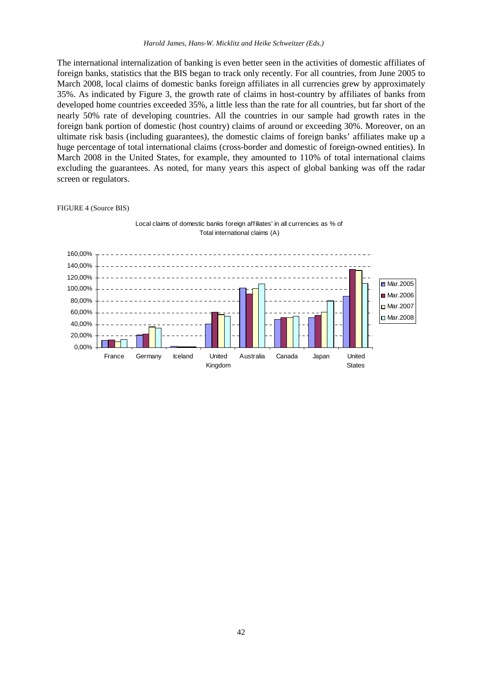The international internalization of banking is even better seen in the activities of domestic affiliates of foreign banks, statistics that the BIS began to track only recently. For all countries, from June 2005 to March 2008, local claims of domestic banks foreign affiliates in all currencies grew by approximately 35%. As indicated by Figure 3, the growth rate of claims in host-country by affiliates of banks from developed home countries exceeded 35%, a little less than the rate for all countries, but far short of the nearly 50% rate of developing countries. All the countries in our sample had growth rates in the foreign bank portion of domestic (host country) claims of around or exceeding 30%. Moreover, on an ultimate risk basis (including guarantees), the domestic claims of foreign banks' affiliates make up a huge percentage of total international claims (cross-border and domestic of foreign-owned entities). In March 2008 in the United States, for example, they amounted to 110% of total international claims excluding the guarantees. As noted, for many years this aspect of global banking was off the radar screen or regulators.



FIGURE 4 (Source BIS)

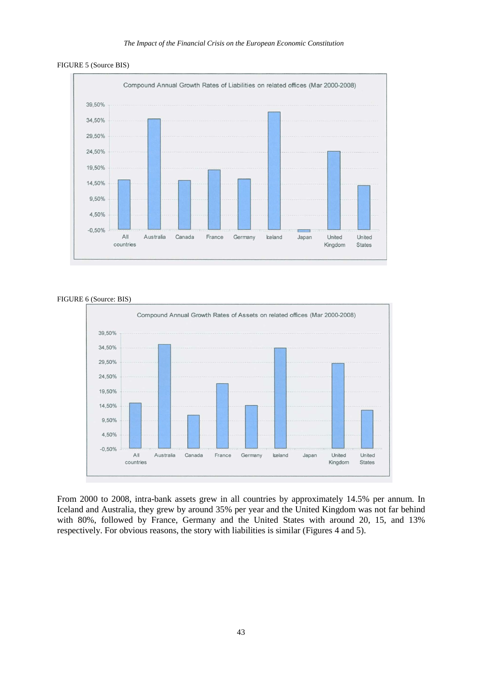

#### FIGURE 5 (Source BIS)

#### FIGURE 6 (Source: BIS)



From 2000 to 2008, intra-bank assets grew in all countries by approximately 14.5% per annum. In Iceland and Australia, they grew by around 35% per year and the United Kingdom was not far behind with 80%, followed by France, Germany and the United States with around 20, 15, and 13% respectively. For obvious reasons, the story with liabilities is similar (Figures 4 and 5).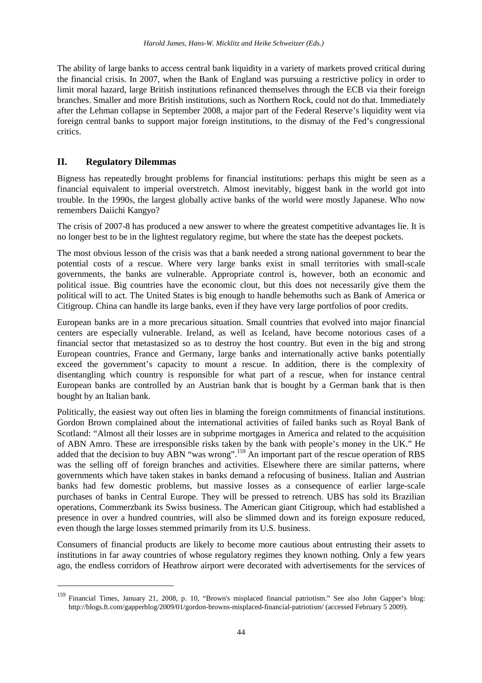The ability of large banks to access central bank liquidity in a variety of markets proved critical during the financial crisis. In 2007, when the Bank of England was pursuing a restrictive policy in order to limit moral hazard, large British institutions refinanced themselves through the ECB via their foreign branches. Smaller and more British institutions, such as Northern Rock, could not do that. Immediately after the Lehman collapse in September 2008, a major part of the Federal Reserve's liquidity went via foreign central banks to support major foreign institutions, to the dismay of the Fed's congressional critics.

# **II. Regulatory Dilemmas**

 $\overline{a}$ 

Bigness has repeatedly brought problems for financial institutions: perhaps this might be seen as a financial equivalent to imperial overstretch. Almost inevitably, biggest bank in the world got into trouble. In the 1990s, the largest globally active banks of the world were mostly Japanese. Who now remembers Daiichi Kangyo?

The crisis of 2007-8 has produced a new answer to where the greatest competitive advantages lie. It is no longer best to be in the lightest regulatory regime, but where the state has the deepest pockets.

The most obvious lesson of the crisis was that a bank needed a strong national government to bear the potential costs of a rescue. Where very large banks exist in small territories with small-scale governments, the banks are vulnerable. Appropriate control is, however, both an economic and political issue. Big countries have the economic clout, but this does not necessarily give them the political will to act. The United States is big enough to handle behemoths such as Bank of America or Citigroup. China can handle its large banks, even if they have very large portfolios of poor credits.

European banks are in a more precarious situation. Small countries that evolved into major financial centers are especially vulnerable. Ireland, as well as Iceland, have become notorious cases of a financial sector that metastasized so as to destroy the host country. But even in the big and strong European countries, France and Germany, large banks and internationally active banks potentially exceed the government's capacity to mount a rescue. In addition, there is the complexity of disentangling which country is responsible for what part of a rescue, when for instance central European banks are controlled by an Austrian bank that is bought by a German bank that is then bought by an Italian bank.

Politically, the easiest way out often lies in blaming the foreign commitments of financial institutions. Gordon Brown complained about the international activities of failed banks such as Royal Bank of Scotland: "Almost all their losses are in subprime mortgages in America and related to the acquisition of ABN Amro. These are irresponsible risks taken by the bank with people's money in the UK." He added that the decision to buy ABN "was wrong".<sup>159</sup> An important part of the rescue operation of RBS was the selling off of foreign branches and activities. Elsewhere there are similar patterns, where governments which have taken stakes in banks demand a refocusing of business. Italian and Austrian banks had few domestic problems, but massive losses as a consequence of earlier large-scale purchases of banks in Central Europe. They will be pressed to retrench. UBS has sold its Brazilian operations, Commerzbank its Swiss business. The American giant Citigroup, which had established a presence in over a hundred countries, will also be slimmed down and its foreign exposure reduced, even though the large losses stemmed primarily from its U.S. business.

Consumers of financial products are likely to become more cautious about entrusting their assets to institutions in far away countries of whose regulatory regimes they known nothing. Only a few years ago, the endless corridors of Heathrow airport were decorated with advertisements for the services of

<sup>159</sup> Financial Times, January 21, 2008, p. 10, "Brown's misplaced financial patriotism." See also John Gapper's blog: http://blogs.ft.com/gapperblog/2009/01/gordon-browns-misplaced-financial-patriotism/ (accessed February 5 2009).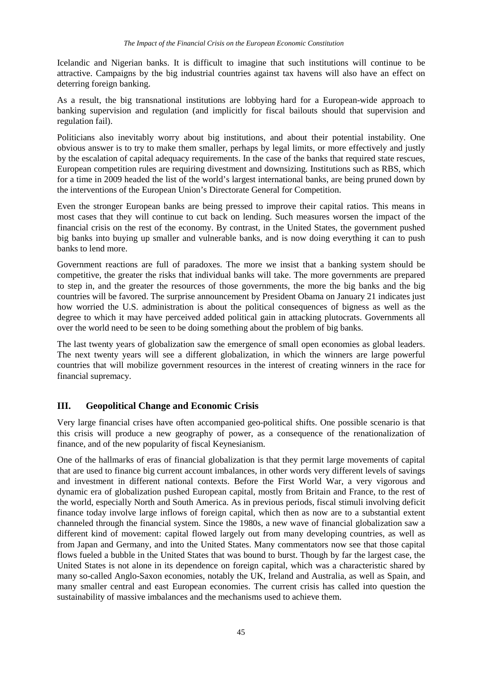Icelandic and Nigerian banks. It is difficult to imagine that such institutions will continue to be attractive. Campaigns by the big industrial countries against tax havens will also have an effect on deterring foreign banking.

As a result, the big transnational institutions are lobbying hard for a European-wide approach to banking supervision and regulation (and implicitly for fiscal bailouts should that supervision and regulation fail).

Politicians also inevitably worry about big institutions, and about their potential instability. One obvious answer is to try to make them smaller, perhaps by legal limits, or more effectively and justly by the escalation of capital adequacy requirements. In the case of the banks that required state rescues, European competition rules are requiring divestment and downsizing. Institutions such as RBS, which for a time in 2009 headed the list of the world's largest international banks, are being pruned down by the interventions of the European Union's Directorate General for Competition.

Even the stronger European banks are being pressed to improve their capital ratios. This means in most cases that they will continue to cut back on lending. Such measures worsen the impact of the financial crisis on the rest of the economy. By contrast, in the United States, the government pushed big banks into buying up smaller and vulnerable banks, and is now doing everything it can to push banks to lend more.

Government reactions are full of paradoxes. The more we insist that a banking system should be competitive, the greater the risks that individual banks will take. The more governments are prepared to step in, and the greater the resources of those governments, the more the big banks and the big countries will be favored. The surprise announcement by President Obama on January 21 indicates just how worried the U.S. administration is about the political consequences of bigness as well as the degree to which it may have perceived added political gain in attacking plutocrats. Governments all over the world need to be seen to be doing something about the problem of big banks.

The last twenty years of globalization saw the emergence of small open economies as global leaders. The next twenty years will see a different globalization, in which the winners are large powerful countries that will mobilize government resources in the interest of creating winners in the race for financial supremacy.

# **III. Geopolitical Change and Economic Crisis**

Very large financial crises have often accompanied geo-political shifts. One possible scenario is that this crisis will produce a new geography of power, as a consequence of the renationalization of finance, and of the new popularity of fiscal Keynesianism.

One of the hallmarks of eras of financial globalization is that they permit large movements of capital that are used to finance big current account imbalances, in other words very different levels of savings and investment in different national contexts. Before the First World War, a very vigorous and dynamic era of globalization pushed European capital, mostly from Britain and France, to the rest of the world, especially North and South America. As in previous periods, fiscal stimuli involving deficit finance today involve large inflows of foreign capital, which then as now are to a substantial extent channeled through the financial system. Since the 1980s, a new wave of financial globalization saw a different kind of movement: capital flowed largely out from many developing countries, as well as from Japan and Germany, and into the United States. Many commentators now see that those capital flows fueled a bubble in the United States that was bound to burst. Though by far the largest case, the United States is not alone in its dependence on foreign capital, which was a characteristic shared by many so-called Anglo-Saxon economies, notably the UK, Ireland and Australia, as well as Spain, and many smaller central and east European economies. The current crisis has called into question the sustainability of massive imbalances and the mechanisms used to achieve them.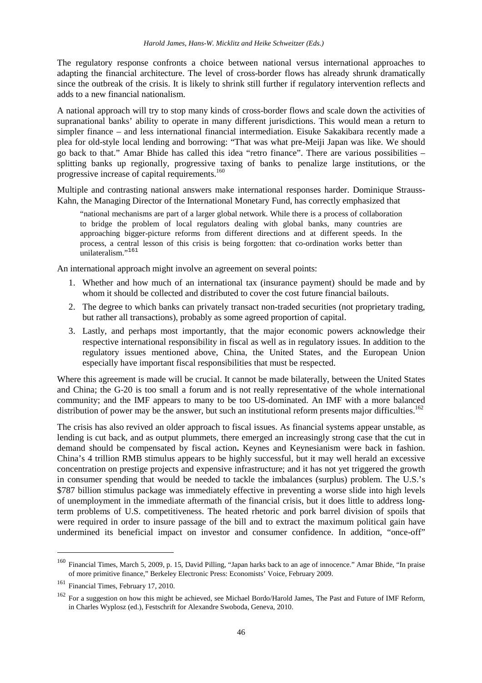The regulatory response confronts a choice between national versus international approaches to adapting the financial architecture. The level of cross-border flows has already shrunk dramatically since the outbreak of the crisis. It is likely to shrink still further if regulatory intervention reflects and adds to a new financial nationalism.

A national approach will try to stop many kinds of cross-border flows and scale down the activities of supranational banks' ability to operate in many different jurisdictions. This would mean a return to simpler finance – and less international financial intermediation. Eisuke Sakakibara recently made a plea for old-style local lending and borrowing: "That was what pre-Meiji Japan was like. We should go back to that." Amar Bhide has called this idea "retro finance". There are various possibilities – splitting banks up regionally, progressive taxing of banks to penalize large institutions, or the progressive increase of capital requirements.<sup>160</sup>

Multiple and contrasting national answers make international responses harder. Dominique Strauss-Kahn, the Managing Director of the International Monetary Fund, has correctly emphasized that

"national mechanisms are part of a larger global network. While there is a process of collaboration to bridge the problem of local regulators dealing with global banks, many countries are approaching bigger-picture reforms from different directions and at different speeds. In the process, a central lesson of this crisis is being forgotten: that co-ordination works better than unilateralism."<sup>161</sup>

An international approach might involve an agreement on several points:

- 1. Whether and how much of an international tax (insurance payment) should be made and by whom it should be collected and distributed to cover the cost future financial bailouts.
- 2. The degree to which banks can privately transact non-traded securities (not proprietary trading, but rather all transactions), probably as some agreed proportion of capital.
- 3. Lastly, and perhaps most importantly, that the major economic powers acknowledge their respective international responsibility in fiscal as well as in regulatory issues. In addition to the regulatory issues mentioned above, China, the United States, and the European Union especially have important fiscal responsibilities that must be respected.

Where this agreement is made will be crucial. It cannot be made bilaterally, between the United States and China; the G-20 is too small a forum and is not really representative of the whole international community; and the IMF appears to many to be too US-dominated. An IMF with a more balanced distribution of power may be the answer, but such an institutional reform presents major difficulties.<sup>162</sup>

The crisis has also revived an older approach to fiscal issues. As financial systems appear unstable, as lending is cut back, and as output plummets, there emerged an increasingly strong case that the cut in demand should be compensated by fiscal action**.** Keynes and Keynesianism were back in fashion. China's 4 trillion RMB stimulus appears to be highly successful, but it may well herald an excessive concentration on prestige projects and expensive infrastructure; and it has not yet triggered the growth in consumer spending that would be needed to tackle the imbalances (surplus) problem. The U.S.'s \$787 billion stimulus package was immediately effective in preventing a worse slide into high levels of unemployment in the immediate aftermath of the financial crisis, but it does little to address longterm problems of U.S. competitiveness. The heated rhetoric and pork barrel division of spoils that were required in order to insure passage of the bill and to extract the maximum political gain have undermined its beneficial impact on investor and consumer confidence. In addition, "once-off"

<sup>&</sup>lt;sup>160</sup> Financial Times, March 5, 2009, p. 15, David Pilling, "Japan harks back to an age of innocence." Amar Bhide, "In praise of more primitive finance," Berkeley Electronic Press: Economists' Voice, February 2009.

<sup>&</sup>lt;sup>161</sup> Financial Times, February 17, 2010.

<sup>&</sup>lt;sup>162</sup> For a suggestion on how this might be achieved, see Michael Bordo/Harold James, The Past and Future of IMF Reform, in Charles Wyplosz (ed.), Festschrift for Alexandre Swoboda, Geneva, 2010.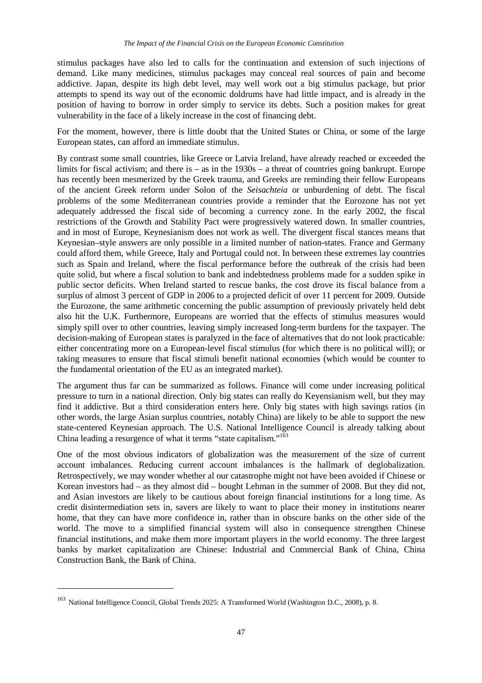stimulus packages have also led to calls for the continuation and extension of such injections of demand. Like many medicines, stimulus packages may conceal real sources of pain and become addictive. Japan, despite its high debt level, may well work out a big stimulus package, but prior attempts to spend its way out of the economic doldrums have had little impact, and is already in the position of having to borrow in order simply to service its debts. Such a position makes for great vulnerability in the face of a likely increase in the cost of financing debt.

For the moment, however, there is little doubt that the United States or China, or some of the large European states, can afford an immediate stimulus.

By contrast some small countries, like Greece or Latvia Ireland, have already reached or exceeded the limits for fiscal activism; and there is – as in the 1930s – a threat of countries going bankrupt. Europe has recently been mesmerized by the Greek trauma, and Greeks are reminding their fellow Europeans of the ancient Greek reform under Solon of the *Seisachteia* or unburdening of debt. The fiscal problems of the some Mediterranean countries provide a reminder that the Eurozone has not yet adequately addressed the fiscal side of becoming a currency zone. In the early 2002, the fiscal restrictions of the Growth and Stability Pact were progressively watered down. In smaller countries, and in most of Europe, Keynesianism does not work as well. The divergent fiscal stances means that Keynesian–style answers are only possible in a limited number of nation-states. France and Germany could afford them, while Greece, Italy and Portugal could not. In between these extremes lay countries such as Spain and Ireland, where the fiscal performance before the outbreak of the crisis had been quite solid, but where a fiscal solution to bank and indebtedness problems made for a sudden spike in public sector deficits. When Ireland started to rescue banks, the cost drove its fiscal balance from a surplus of almost 3 percent of GDP in 2006 to a projected deficit of over 11 percent for 2009. Outside the Eurozone, the same arithmetic concerning the public assumption of previously privately held debt also hit the U.K. Furthermore, Europeans are worried that the effects of stimulus measures would simply spill over to other countries, leaving simply increased long-term burdens for the taxpayer. The decision-making of European states is paralyzed in the face of alternatives that do not look practicable: either concentrating more on a European-level fiscal stimulus (for which there is no political will); or taking measures to ensure that fiscal stimuli benefit national economies (which would be counter to the fundamental orientation of the EU as an integrated market).

The argument thus far can be summarized as follows. Finance will come under increasing political pressure to turn in a national direction. Only big states can really do Keyensianism well, but they may find it addictive. But a third consideration enters here. Only big states with high savings ratios (in other words, the large Asian surplus countries, notably China) are likely to be able to support the new state-centered Keynesian approach. The U.S. National Intelligence Council is already talking about China leading a resurgence of what it terms "state capitalism."<sup>163</sup>

One of the most obvious indicators of globalization was the measurement of the size of current account imbalances. Reducing current account imbalances is the hallmark of deglobalization. Retrospectively, we may wonder whether al our catastrophe might not have been avoided if Chinese or Korean investors had – as they almost did – bought Lehman in the summer of 2008. But they did not, and Asian investors are likely to be cautious about foreign financial institutions for a long time. As credit disintermediation sets in, savers are likely to want to place their money in institutions nearer home, that they can have more confidence in, rather than in obscure banks on the other side of the world. The move to a simplified financial system will also in consequence strengthen Chinese financial institutions, and make them more important players in the world economy. The three largest banks by market capitalization are Chinese: Industrial and Commercial Bank of China, China Construction Bank, the Bank of China.

<sup>&</sup>lt;sup>163</sup> National Intelligence Council, Global Trends 2025: A Transformed World (Washington D.C., 2008), p. 8.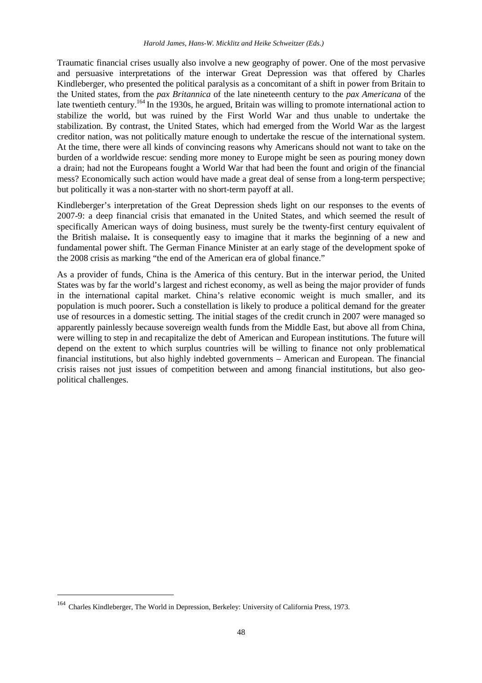Traumatic financial crises usually also involve a new geography of power. One of the most pervasive and persuasive interpretations of the interwar Great Depression was that offered by Charles Kindleberger, who presented the political paralysis as a concomitant of a shift in power from Britain to the United states, from the *pax Britannica* of the late nineteenth century to the *pax Americana* of the late twentieth century.<sup>164</sup> In the 1930s, he argued, Britain was willing to promote international action to stabilize the world, but was ruined by the First World War and thus unable to undertake the stabilization. By contrast, the United States, which had emerged from the World War as the largest creditor nation, was not politically mature enough to undertake the rescue of the international system. At the time, there were all kinds of convincing reasons why Americans should not want to take on the burden of a worldwide rescue: sending more money to Europe might be seen as pouring money down a drain; had not the Europeans fought a World War that had been the fount and origin of the financial mess? Economically such action would have made a great deal of sense from a long-term perspective; but politically it was a non-starter with no short-term payoff at all.

Kindleberger's interpretation of the Great Depression sheds light on our responses to the events of 2007-9: a deep financial crisis that emanated in the United States, and which seemed the result of specifically American ways of doing business, must surely be the twenty-first century equivalent of the British malaise**.** It is consequently easy to imagine that it marks the beginning of a new and fundamental power shift. The German Finance Minister at an early stage of the development spoke of the 2008 crisis as marking "the end of the American era of global finance."

As a provider of funds, China is the America of this century. But in the interwar period, the United States was by far the world's largest and richest economy, as well as being the major provider of funds in the international capital market. China's relative economic weight is much smaller, and its population is much poorer**.** Such a constellation is likely to produce a political demand for the greater use of resources in a domestic setting. The initial stages of the credit crunch in 2007 were managed so apparently painlessly because sovereign wealth funds from the Middle East, but above all from China, were willing to step in and recapitalize the debt of American and European institutions. The future will depend on the extent to which surplus countries will be willing to finance not only problematical financial institutions, but also highly indebted governments – American and European. The financial crisis raises not just issues of competition between and among financial institutions, but also geopolitical challenges.

<sup>164</sup> Charles Kindleberger, The World in Depression, Berkeley: University of California Press, 1973.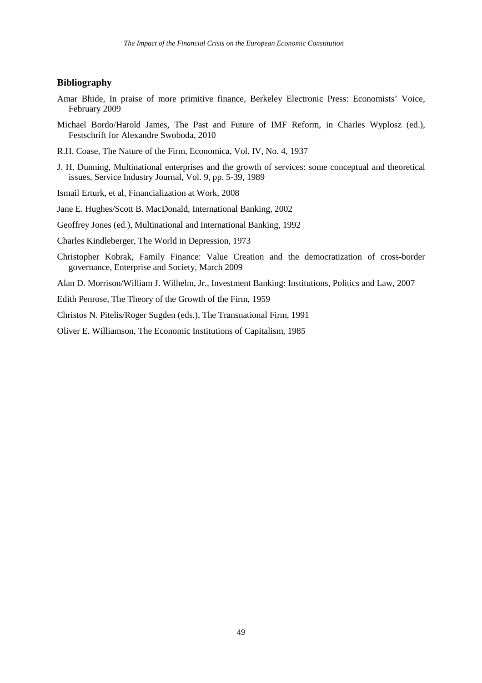# **Bibliography**

- Amar Bhide, In praise of more primitive finance, Berkeley Electronic Press: Economists' Voice, February 2009
- Michael Bordo/Harold James, The Past and Future of IMF Reform, in Charles Wyplosz (ed.), Festschrift for Alexandre Swoboda, 2010
- R.H. Coase, The Nature of the Firm, Economica, Vol. IV, No. 4, 1937
- J. H. Dunning, Multinational enterprises and the growth of services: some conceptual and theoretical issues, Service Industry Journal, Vol. 9, pp. 5-39, 1989
- Ismail Erturk, et al, Financialization at Work*,* 2008
- Jane E. Hughes/Scott B. MacDonald, International Banking, 2002
- Geoffrey Jones (ed.), Multinational and International Banking, 1992
- Charles Kindleberger, The World in Depression, 1973
- Christopher Kobrak, Family Finance: Value Creation and the democratization of cross-border governance, Enterprise and Society, March 2009
- Alan D. Morrison/William J. Wilhelm, Jr., Investment Banking: Institutions, Politics and Law, 2007
- Edith Penrose, The Theory of the Growth of the Firm, 1959
- Christos N. Pitelis/Roger Sugden (eds.), The Transnational Firm, 1991
- Oliver E. Williamson, The Economic Institutions of Capitalism, 1985